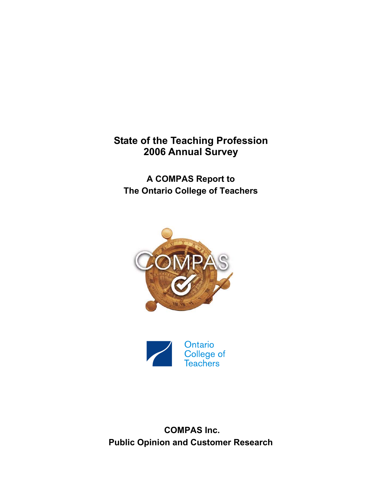## **State of the Teaching Profession 2006 Annual Survey**

**A COMPAS Report to The Ontario College of Teachers** 





 **COMPAS Inc. Public Opinion and Customer Research**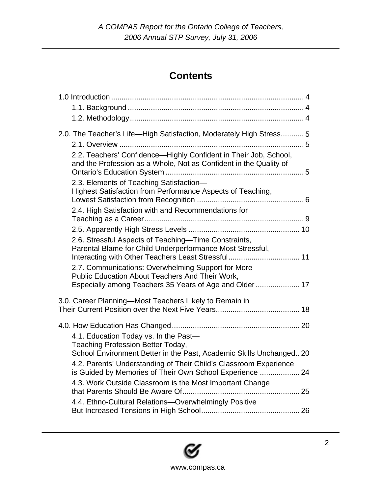# **Contents**

| 2.0. The Teacher's Life-High Satisfaction, Moderately High Stress 5                                                                                                                                                                                                                                                                         |
|---------------------------------------------------------------------------------------------------------------------------------------------------------------------------------------------------------------------------------------------------------------------------------------------------------------------------------------------|
| 2.2. Teachers' Confidence-Highly Confident in Their Job, School,<br>and the Profession as a Whole, Not as Confident in the Quality of                                                                                                                                                                                                       |
| 2.3. Elements of Teaching Satisfaction-<br>Highest Satisfaction from Performance Aspects of Teaching,                                                                                                                                                                                                                                       |
| 2.4. High Satisfaction with and Recommendations for                                                                                                                                                                                                                                                                                         |
|                                                                                                                                                                                                                                                                                                                                             |
| 2.6. Stressful Aspects of Teaching-Time Constraints,<br>Parental Blame for Child Underperformance Most Stressful,<br>Interacting with Other Teachers Least Stressful 11<br>2.7. Communications: Overwhelming Support for More<br>Public Education About Teachers And Their Work,<br>Especially among Teachers 35 Years of Age and Older  17 |
|                                                                                                                                                                                                                                                                                                                                             |
| 3.0. Career Planning-Most Teachers Likely to Remain in                                                                                                                                                                                                                                                                                      |
|                                                                                                                                                                                                                                                                                                                                             |
| 4.1. Education Today vs. In the Past-<br>Teaching Profession Better Today,                                                                                                                                                                                                                                                                  |
| School Environment Better in the Past, Academic Skills Unchanged 20                                                                                                                                                                                                                                                                         |
| 4.2. Parents' Understanding of Their Child's Classroom Experience<br>is Guided by Memories of Their Own School Experience  24                                                                                                                                                                                                               |
| 4.3. Work Outside Classroom is the Most Important Change                                                                                                                                                                                                                                                                                    |
| 4.4. Ethno-Cultural Relations-Overwhelmingly Positive                                                                                                                                                                                                                                                                                       |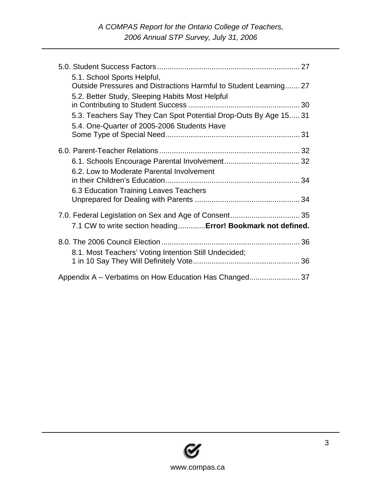| 5.1. School Sports Helpful,                                                         |  |
|-------------------------------------------------------------------------------------|--|
| Outside Pressures and Distractions Harmful to Student Learning 27                   |  |
| 5.2. Better Study, Sleeping Habits Most Helpful                                     |  |
| 5.3. Teachers Say They Can Spot Potential Drop-Outs By Age 15 31                    |  |
| 5.4. One-Quarter of 2005-2006 Students Have                                         |  |
|                                                                                     |  |
|                                                                                     |  |
| 6.2. Low to Moderate Parental Involvement<br>6.3 Education Training Leaves Teachers |  |
|                                                                                     |  |
| 7.1 CW to write section heading Error! Bookmark not defined.                        |  |
| 8.1. Most Teachers' Voting Intention Still Undecided;                               |  |
|                                                                                     |  |
|                                                                                     |  |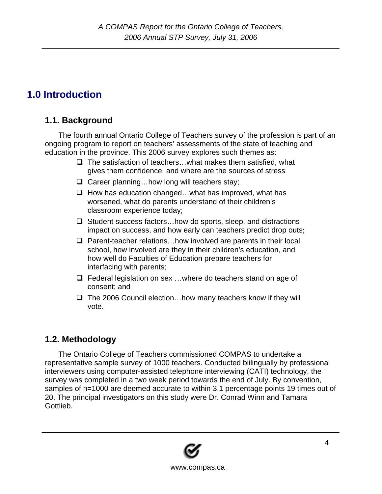# <span id="page-3-0"></span>**1.0 Introduction**

## **1.1. Background**

The fourth annual Ontario College of Teachers survey of the profession is part of an ongoing program to report on teachers' assessments of the state of teaching and education in the province. This 2006 survey explores such themes as:

- $\Box$  The satisfaction of teachers... what makes them satisfied, what gives them confidence, and where are the sources of stress
- $\Box$  Career planning... how long will teachers stay;
- $\Box$  How has education changed... what has improved, what has worsened, what do parents understand of their children's classroom experience today;
- $\Box$  Student success factors... how do sports, sleep, and distractions impact on success, and how early can teachers predict drop outs;
- $\Box$  Parent-teacher relations...how involved are parents in their local school, how involved are they in their children's education, and how well do Faculties of Education prepare teachers for interfacing with parents;
- $\Box$  Federal legislation on sex ... where do teachers stand on age of consent; and
- $\Box$  The 2006 Council election... how many teachers know if they will vote.

## **1.2. Methodology**

The Ontario College of Teachers commissioned COMPAS to undertake a representative sample survey of 1000 teachers. Conducted biilingually by professional interviewers using computer-assisted telephone interviewing (CATI) technology, the survey was completed in a two week period towards the end of July. By convention, samples of n=1000 are deemed accurate to within 3.1 percentage points 19 times out of 20. The principal investigators on this study were Dr. Conrad Winn and Tamara Gottlieb.

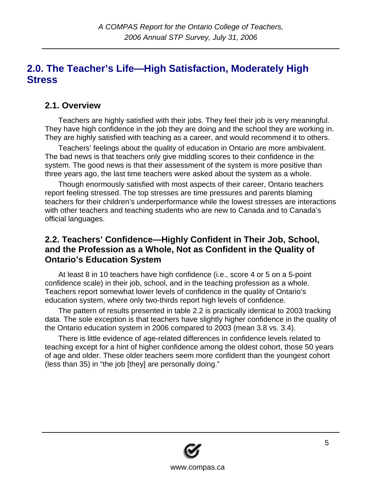## <span id="page-4-0"></span>**2.0. The Teacher's Life—High Satisfaction, Moderately High Stress**

### **2.1. Overview**

Teachers are highly satisfied with their jobs. They feel their job is very meaningful. They have high confidence in the job they are doing and the school they are working in. They are highly satisfied with teaching as a career, and would recommend it to others.

Teachers' feelings about the quality of education in Ontario are more ambivalent. The bad news is that teachers only give middling scores to their confidence in the system. The good news is that their assessment of the system is more positive than three years ago, the last time teachers were asked about the system as a whole.

Though enormously satisfied with most aspects of their career, Ontario teachers report feeling stressed. The top stresses are time pressures and parents blaming teachers for their children's underperformance while the lowest stresses are interactions with other teachers and teaching students who are new to Canada and to Canada's official languages.

### **2.2. Teachers' Confidence—Highly Confident in Their Job, School, and the Profession as a Whole, Not as Confident in the Quality of Ontario's Education System**

At least 8 in 10 teachers have high confidence (i.e., score 4 or 5 on a 5-point confidence scale) in their job, school, and in the teaching profession as a whole. Teachers report somewhat lower levels of confidence in the quality of Ontario's education system, where only two-thirds report high levels of confidence.

The pattern of results presented in table 2.2 is practically identical to 2003 tracking data. The sole exception is that teachers have slightly higher confidence in the quality of the Ontario education system in 2006 compared to 2003 (mean 3.8 vs. 3.4).

There is little evidence of age-related differences in confidence levels related to teaching except for a hint of higher confidence among the oldest cohort, those 50 years of age and older. These older teachers seem more confident than the youngest cohort (less than 35) in "the job [they] are personally doing."

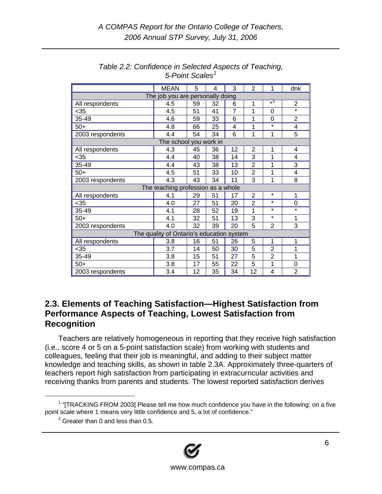<span id="page-5-0"></span>

|                                                                 | <b>MEAN</b>                               | 5  | 4  | 3              | $\overline{2}$ | 1              | dnk               |  |  |
|-----------------------------------------------------------------|-------------------------------------------|----|----|----------------|----------------|----------------|-------------------|--|--|
|                                                                 | The job you are personally doing          |    |    |                |                |                |                   |  |  |
| All respondents                                                 | 4.5                                       | 59 | 32 | 6              | 1              | $*^2$          | $\overline{2}$    |  |  |
| $<$ 35                                                          | 4.5                                       | 51 | 41 | $\overline{7}$ | 1              | 0              | $\overline{\ast}$ |  |  |
| 35-49                                                           | 4.6                                       | 59 | 33 | 6              | 1              | 0              | $\overline{2}$    |  |  |
| $50+$                                                           | 4.8                                       | 66 | 25 | 4              | 1              | $\star$        | 4                 |  |  |
| 2003 respondents                                                | 4.4                                       | 54 | 34 | 6              | 1              | 1              | 5                 |  |  |
| The school you work in                                          |                                           |    |    |                |                |                |                   |  |  |
| 4.3<br>45<br>36<br>12<br>$\overline{2}$<br>1<br>All respondents |                                           |    |    |                |                |                |                   |  |  |
| $35$                                                            | 4.4                                       | 40 | 38 | 14             | 3              | 1              | 4                 |  |  |
| 35-49                                                           | 4.4                                       | 43 | 38 | 13             | $\overline{2}$ | 1              | 3                 |  |  |
| $50+$                                                           | 4.5                                       | 51 | 33 | 10             | $\overline{2}$ | 1              | 4                 |  |  |
| 2003 respondents                                                | 4.3                                       | 43 | 34 | 11             | 3              | 1              | 8                 |  |  |
|                                                                 | The teaching profession as a whole        |    |    |                |                |                |                   |  |  |
| All respondents                                                 | 4.1                                       | 29 | 51 | 17             | $\overline{2}$ | $\star$        | 1                 |  |  |
| $35$                                                            | 4.0                                       | 27 | 51 | 20             | $\overline{2}$ | $\star$        | 0                 |  |  |
| 35-49                                                           | 4.1                                       | 28 | 52 | 19             | 1              | $\star$        | $\star$           |  |  |
| $50+$                                                           | 4.1                                       | 32 | 51 | 13             | 3              | $\star$        | 1                 |  |  |
| 2003 respondents                                                | 4.0                                       | 32 | 39 | 20             | 5              | 2              | 3                 |  |  |
|                                                                 | The quality of Ontario's education system |    |    |                |                |                |                   |  |  |
| All respondents                                                 | 3.8                                       | 16 | 51 | 26             | 5              | 1              | 1                 |  |  |
| $35$                                                            | 3.7                                       | 14 | 50 | 30             | 5              | $\overline{2}$ | 1                 |  |  |
| 35-49                                                           | 3.8                                       | 15 | 51 | 27             | 5              | 2              | 1                 |  |  |
| $50+$                                                           | 3.8                                       | 17 | 55 | 22             | 5              | 1              | 0                 |  |  |
| 2003 respondents                                                | 3.4                                       | 12 | 35 | 34             | 12             | 4              | $\overline{2}$    |  |  |

*Table 2.2: Confidence in Selected Aspects of Teaching, 5-Point Scales[1](#page-5-1)*

#### **2.3. Elements of Teaching Satisfaction—Highest Satisfaction from Performance Aspects of Teaching, Lowest Satisfaction from Recognition**

Teachers are relatively homogeneous in reporting that they receive high satisfaction (i.e., score 4 or 5 on a 5-point satisfaction scale) from working with students and colleagues, feeling that their job is meaningful, and adding to their subject matter knowledge and teaching skills, as shown in table 2.3A. Approximately three-quarters of teachers report high satisfaction from participating in extracurricular activities and receiving thanks from parents and students. The lowest reported satisfaction derives

 $2$  Greater than 0 and less than 0.5.



<span id="page-5-2"></span><span id="page-5-1"></span> <sup>1</sup>  $1$  "[TRACKING FROM 2003] Please tell me how much confidence you have in the following: on a five point scale where 1 means very little confidence and 5, a lot of confidence."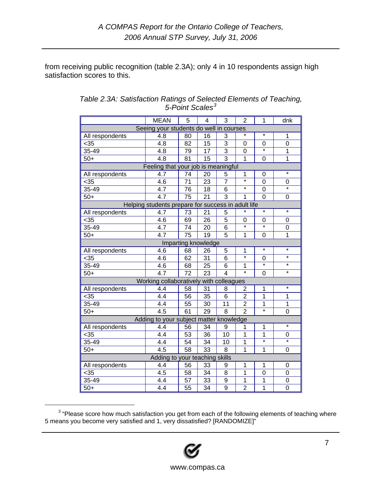from receiving public recognition (table 2.3A); only 4 in 10 respondents assign high satisfaction scores to this.

|                                                                           | <b>MEAN</b>                                        | 5               | $\overline{4}$      | 3                       | $\overline{2}$    | 1                 | dnk               |  |  |  |
|---------------------------------------------------------------------------|----------------------------------------------------|-----------------|---------------------|-------------------------|-------------------|-------------------|-------------------|--|--|--|
|                                                                           | Seeing your students do well in courses            |                 |                     |                         |                   |                   |                   |  |  |  |
| All respondents                                                           | 4.8                                                | 80              | 16                  | 3                       |                   | $\star$           | 1                 |  |  |  |
| $35$                                                                      | 4.8                                                | 82              | 15                  | 3                       | 0                 | 0                 | $\mathbf 0$       |  |  |  |
| 35-49                                                                     | 4.8                                                | 79              | 17                  | $\overline{3}$          | 0                 |                   | 1                 |  |  |  |
| $50+$                                                                     | $\overline{4.8}$                                   | 81              | 15                  | $\overline{3}$          | 1                 | 0                 | 1                 |  |  |  |
|                                                                           | Feeling that your job is meaningful                |                 |                     |                         |                   |                   |                   |  |  |  |
| $\star$<br>4.7<br>20<br>$\overline{1}$<br>All respondents<br>74<br>5<br>0 |                                                    |                 |                     |                         |                   |                   |                   |  |  |  |
| $35$                                                                      | 4.6                                                | $\overline{7}1$ | 23                  | $\overline{7}$          | $\overline{\ast}$ | 0                 | 0                 |  |  |  |
| 35-49                                                                     | 4.7                                                | 76              | 18                  | 6                       | $\star$           | 0                 | $\star$           |  |  |  |
| $50+$                                                                     | 4.7                                                | 75              | 21                  | $\overline{3}$          | 1                 | $\overline{0}$    | 0                 |  |  |  |
|                                                                           | Helping students prepare for success in adult life |                 |                     |                         |                   |                   |                   |  |  |  |
| All respondents                                                           | 4.7                                                | 73              | 21                  | 5                       | $\star$           | $\star$           | $\star$           |  |  |  |
| $35$                                                                      | 4.6                                                | 69              | 26                  | $\overline{5}$          | 0                 | 0                 | 0                 |  |  |  |
| 35-49                                                                     | $\overline{4.7}$                                   | 74              | 20                  | 6                       | $\overline{\ast}$ | ¥                 | 0                 |  |  |  |
| $50+$                                                                     | 4.7                                                | 75              | 19                  | $\overline{5}$          | $\mathbf 1$       | 0                 | 1                 |  |  |  |
|                                                                           |                                                    |                 | Imparting knowledge |                         |                   |                   |                   |  |  |  |
| All respondents                                                           | 4.6                                                | 68              | 26                  | 5                       | $\overline{1}$    | $\star$           | $\star$           |  |  |  |
| $35$                                                                      | 4.6                                                | 62              | 31                  | $\overline{6}$          | $\overline{\ast}$ | 0                 | $\star$           |  |  |  |
| 35-49                                                                     | 4.6                                                | 68              | 25                  | 6                       | 1                 | ÷                 | $\star$           |  |  |  |
| $50+$                                                                     | 4.7                                                | 72              | 23                  | $\overline{\mathbf{A}}$ | $\overline{\ast}$ | 0                 | $\star$           |  |  |  |
|                                                                           | Working collaboratively with colleagues            |                 |                     |                         |                   |                   |                   |  |  |  |
| All respondents                                                           | 4.4                                                | 58              | 31                  | 8                       | 2                 | 1                 | $\star$           |  |  |  |
| $35$                                                                      | 4.4                                                | 56              | 35                  | 6                       | $\overline{2}$    | $\mathbf{1}$      | 1                 |  |  |  |
| 35-49                                                                     | 4.4                                                | 55              | 30                  | 11                      | $\overline{2}$    | 1                 | 1                 |  |  |  |
| $50+$                                                                     | $\overline{4.5}$                                   | 61              | 29                  | $\overline{8}$          | $\overline{2}$    | $\star$           | 0                 |  |  |  |
|                                                                           | Adding to your subject matter knowledge            |                 |                     |                         |                   |                   |                   |  |  |  |
| All respondents                                                           | 4.4                                                | 56              | 34                  | 9                       | 1                 | 1                 | $\star$           |  |  |  |
| $35$                                                                      | 4.4                                                | 53              | 36                  | 10                      | 1                 | $\mathbf{1}$      | 0                 |  |  |  |
| 35-49                                                                     | 4.4                                                | 54              | 34                  | 10                      | 1                 | $\overline{\ast}$ | $\overline{\ast}$ |  |  |  |
| $50+$                                                                     | 4.5                                                | 58              | $\overline{33}$     | 8                       | $\overline{1}$    | 1                 | 0                 |  |  |  |
| Adding to your teaching skills                                            |                                                    |                 |                     |                         |                   |                   |                   |  |  |  |
| All respondents                                                           | 4.4                                                | 56              | 33                  | 9                       | $\overline{1}$    | $\mathbf{1}$      | 0                 |  |  |  |
| $35$                                                                      | 4.5                                                | 58              | 34                  | 8                       | 1                 | 0                 | 0                 |  |  |  |
| 35-49                                                                     | 4.4                                                | 57              | 33                  | 9                       | $\mathbf{1}$      | 1                 | 0                 |  |  |  |
| $50+$                                                                     | $\overline{4.4}$                                   | 55              | $\overline{34}$     | $\overline{9}$          | $\overline{2}$    | $\overline{1}$    | 0                 |  |  |  |

| Table 2.3A: Satisfaction Ratings of Selected Elements of Teaching, |
|--------------------------------------------------------------------|
| 5-Point Scales <sup>3</sup>                                        |

<span id="page-6-0"></span>**Extending the matter of the following set of the following elements of teaching where**<br><sup>3</sup> "Please score how much satisfaction you get from each of the following elements of teaching where 5 means you become very satisfied and 1, very dissatisfied? [RANDOMIZE]"

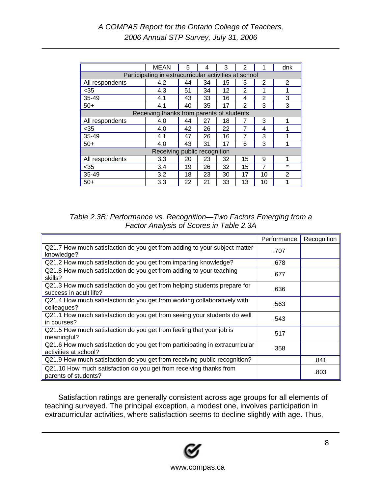|                 | <b>MEAN</b>                                           | 5  | 4  | 3  | 2            | 1              | dnk     |
|-----------------|-------------------------------------------------------|----|----|----|--------------|----------------|---------|
|                 | Participating in extracurricular activities at school |    |    |    |              |                |         |
| All respondents | 4.2                                                   | 44 | 34 | 15 | 3            | 2              | 2       |
| $35$            | 4.3                                                   | 51 | 34 | 12 | 2            | 1              | 1       |
| 35-49           | 4.1                                                   | 43 | 33 | 16 | 4            | $\overline{2}$ | 3       |
| $50+$           | 4.1                                                   | 40 | 35 | 17 | $\mathbf{2}$ | 3              | 3       |
|                 | Receiving thanks from parents of students             |    |    |    |              |                |         |
| All respondents | 4.0                                                   | 44 | 27 | 18 |              | 3              |         |
| $35$            | 4.0                                                   | 42 | 26 | 22 | 7            | 4              |         |
| 35-49           | 4.1                                                   | 47 | 26 | 16 | 7            | 3              | 1       |
| $50+$           | 4.0                                                   | 43 | 31 | 17 | 6            | 3              | 1       |
|                 | Receiving public recognition                          |    |    |    |              |                |         |
| All respondents | 3.3                                                   | 20 | 23 | 32 | 15           | 9              | 1       |
| $35$            | 3.4                                                   | 19 | 26 | 32 | 15           | 7              | $\star$ |
| 35-49           | 3.2                                                   | 18 | 23 | 30 | 17           | 10             | 2       |
| $50+$           | 3.3                                                   | 22 | 21 | 33 | 13           | 10             |         |

*Table 2.3B: Performance vs. Recognition—Two Factors Emerging from a Factor Analysis of Scores in Table 2.3A* 

|                                                                                                       | Performance | Recognition |
|-------------------------------------------------------------------------------------------------------|-------------|-------------|
| Q21.7 How much satisfaction do you get from adding to your subject matter<br>knowledge?               | .707        |             |
| Q21.2 How much satisfaction do you get from imparting knowledge?                                      | .678        |             |
| Q21.8 How much satisfaction do you get from adding to your teaching<br>skills?                        | .677        |             |
| Q21.3 How much satisfaction do you get from helping students prepare for<br>success in adult life?    | .636        |             |
| Q21.4 How much satisfaction do you get from working collaboratively with<br>colleagues?               | .563        |             |
| Q21.1 How much satisfaction do you get from seeing your students do well<br>in courses?               | .543        |             |
| Q21.5 How much satisfaction do you get from feeling that your job is<br>meaningful?                   | .517        |             |
| Q21.6 How much satisfaction do you get from participating in extracurricular<br>activities at school? | .358        |             |
| Q21.9 How much satisfaction do you get from receiving public recognition?                             |             | .841        |
| Q21.10 How much satisfaction do you get from receiving thanks from<br>parents of students?            |             | .803        |

Satisfaction ratings are generally consistent across age groups for all elements of teaching surveyed. The principal exception, a modest one, involves participation in extracurricular activities, where satisfaction seems to decline slightly with age. Thus,

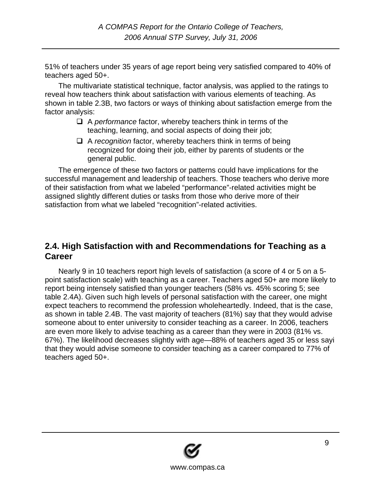<span id="page-8-0"></span>51% of teachers under 35 years of age report being very satisfied compared to 40% of teachers aged 50+.

The multivariate statistical technique, factor analysis, was applied to the ratings to reveal how teachers think about satisfaction with various elements of teaching. As shown in table 2.3B, two factors or ways of thinking about satisfaction emerge from the factor analysis:

- A *performance* factor, whereby teachers think in terms of the teaching, learning, and social aspects of doing their job;
- □ A *recognition* factor, whereby teachers think in terms of being recognized for doing their job, either by parents of students or the general public.

The emergence of these two factors or patterns could have implications for the successful management and leadership of teachers. Those teachers who derive more of their satisfaction from what we labeled "performance"-related activities might be assigned slightly different duties or tasks from those who derive more of their satisfaction from what we labeled "recognition"-related activities.

#### **2.4. High Satisfaction with and Recommendations for Teaching as a Career**

Nearly 9 in 10 teachers report high levels of satisfaction (a score of 4 or 5 on a 5 point satisfaction scale) with teaching as a career. Teachers aged 50+ are more likely to report being intensely satisfied than younger teachers (58% vs. 45% scoring 5; see table 2.4A). Given such high levels of personal satisfaction with the career, one might expect teachers to recommend the profession wholeheartedly. Indeed, that is the case, as shown in table 2.4B. The vast majority of teachers (81%) say that they would advise someone about to enter university to consider teaching as a career. In 2006, teachers are even more likely to advise teaching as a career than they were in 2003 (81% vs. 67%). The likelihood decreases slightly with age—88% of teachers aged 35 or less sayi that they would advise someone to consider teaching as a career compared to 77% of teachers aged 50+.

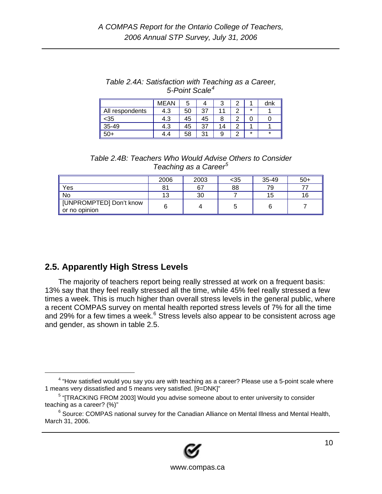<span id="page-9-0"></span>

| Table 2.4A: Satisfaction with Teaching as a Career, |
|-----------------------------------------------------|
| 5-Point Scale <sup>4</sup>                          |

|                 | <b>MEAN</b> | 5  |    | ື  |            |         | dnk |
|-----------------|-------------|----|----|----|------------|---------|-----|
| All respondents | 4.3         | 50 | 27 |    | $\sqrt{2}$ | $\star$ |     |
| <35             | 4.3         | 45 | 45 | 8  | $\sqrt{2}$ |         |     |
| 35-49           | 4.3         | 45 | 37 | 14 | ◠          |         |     |
| 50+             | 1.4         | 58 | ົ  | 9  |            | $\star$ |     |

*Table 2.4B: Teachers Who Would Advise Others to Consider Teaching as a Career[5](#page-9-2)*

|                                          | 2006 | 2003 | <35 | 35-49 | $50+$ |
|------------------------------------------|------|------|-----|-------|-------|
| 'Yes                                     | 81   | 67   | 88  | 79    |       |
| l No                                     | 13   | 30   |     | 15    | 16    |
| [UNPROMPTED] Don't know<br>or no opinion |      |      |     |       |       |

### **2.5. Apparently High Stress Levels**

The majority of teachers report being really stressed at work on a frequent basis: 13% say that they feel really stressed all the time, while 45% feel really stressed a few times a week. This is much higher than overall stress levels in the general public, where a recent COMPAS survey on mental health reported stress levels of 7% for all the time and 29% for a few times a week. $6$  Stress levels also appear to be consistent across age and gender, as shown in table 2.5.

<span id="page-9-3"></span> $6$  Source: COMPAS national survey for the Canadian Alliance on Mental Illness and Mental Health, March 31, 2006.



<span id="page-9-1"></span> $\overline{a}$  $4$  "How satisfied would you say you are with teaching as a career? Please use a 5-point scale where 1 means very dissatisfied and 5 means very satisfied. [9=DNK]"

<span id="page-9-2"></span><sup>&</sup>lt;sup>5</sup> "[TRACKING FROM 2003] Would you advise someone about to enter university to consider teaching as a career? (%)"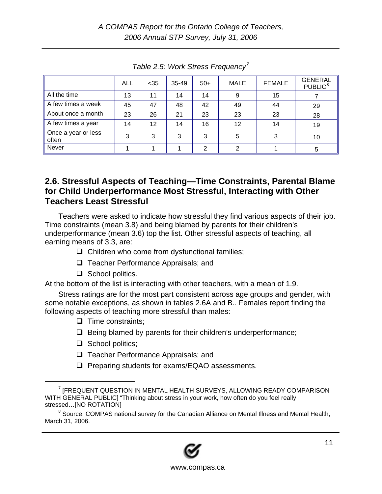<span id="page-10-0"></span>

|                              | <b>ALL</b> | $35$ | 35-49 | $50+$ | MALE | <b>FEMALE</b> | <b>GENERAL</b><br>PUBLIC <sup>8</sup> |
|------------------------------|------------|------|-------|-------|------|---------------|---------------------------------------|
| All the time                 | 13         | 11   | 14    | 14    | 9    | 15            |                                       |
| A few times a week           | 45         | 47   | 48    | 42    | 49   | 44            | 29                                    |
| About once a month           | 23         | 26   | 21    | 23    | 23   | 23            | 28                                    |
| A few times a year           | 14         | 12   | 14    | 16    | 12   | 14            | 19                                    |
| Once a year or less<br>often | 3          | 3    | 3     | 3     | 5    | 3             | 10                                    |
| Never                        |            |      |       | ⌒     |      |               |                                       |

*Table 2.5: Work Stress Frequency[7](#page-10-1)*

#### **2.6. Stressful Aspects of Teaching—Time Constraints, Parental Blame for Child Underperformance Most Stressful, Interacting with Other Teachers Least Stressful**

Teachers were asked to indicate how stressful they find various aspects of their job. Time constraints (mean 3.8) and being blamed by parents for their children's underperformance (mean 3.6) top the list. Other stressful aspects of teaching, all earning means of 3.3, are:

- $\Box$  Children who come from dysfunctional families;
- $\Box$  Teacher Performance Appraisals; and
- $\Box$  School politics.

At the bottom of the list is interacting with other teachers, with a mean of 1.9.

Stress ratings are for the most part consistent across age groups and gender, with some notable exceptions, as shown in tables 2.6A and B.. Females report finding the following aspects of teaching more stressful than males:

- $\Box$  Time constraints;
- $\Box$  Being blamed by parents for their children's underperformance;
- $\Box$  School politics;
- □ Teacher Performance Appraisals; and
- $\Box$  Preparing students for exams/EQAO assessments.

<span id="page-10-2"></span><sup>&</sup>lt;sup>8</sup> Source: COMPAS national survey for the Canadian Alliance on Mental Illness and Mental Health, March 31, 2006.



<span id="page-10-1"></span> $\frac{1}{7}$ <sup>7</sup> [FREQUENT QUESTION IN MENTAL HEALTH SURVEYS, ALLOWING READY COMPARISON WITH GENERAL PUBLIC] "Thinking about stress in your work, how often do you feel really stressed…[NO ROTATION]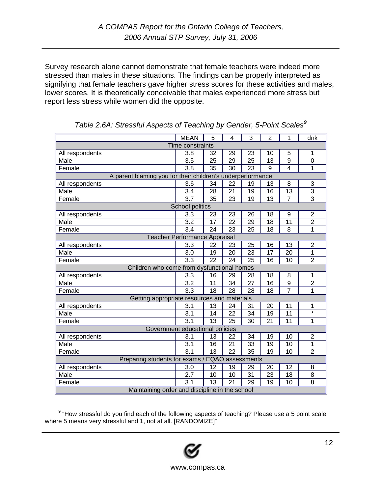Survey research alone cannot demonstrate that female teachers were indeed more stressed than males in these situations. The findings can be properly interpreted as signifying that female teachers gave higher stress scores for these activities and males, lower scores. It is theoretically conceivable that males experienced more stress but report less stress while women did the opposite.

|                                                            | <b>MEAN</b>      | 5               | 4               | 3               | $\overline{2}$  | 1               | dnk               |  |  |  |
|------------------------------------------------------------|------------------|-----------------|-----------------|-----------------|-----------------|-----------------|-------------------|--|--|--|
|                                                            | Time constraints |                 |                 |                 |                 |                 |                   |  |  |  |
| All respondents                                            | 3.8              | 32              | 29              | 23              | 10              | 5               | 1                 |  |  |  |
| Male                                                       | 3.5              | 25              | 29              | 25              | 13              | 9               | 0                 |  |  |  |
| Female                                                     | 3.8              | $\overline{35}$ | $\overline{30}$ | $\overline{23}$ | $\overline{9}$  | $\overline{4}$  | $\mathbf 1$       |  |  |  |
| A parent blaming you for their children's underperformance |                  |                 |                 |                 |                 |                 |                   |  |  |  |
| All respondents                                            | 3.6              | 34              | 22              | 19              | 13              | 8               | 3                 |  |  |  |
| Male                                                       | $\overline{3.4}$ | $\overline{28}$ | $\overline{21}$ | 19              | $\overline{16}$ | $\overline{13}$ | $\overline{3}$    |  |  |  |
| Female                                                     | 3.7              | 35              | 23              | 19              | 13              | $\overline{7}$  | $\overline{3}$    |  |  |  |
|                                                            | School politics  |                 |                 |                 |                 |                 |                   |  |  |  |
| All respondents                                            | 3.3              | 23              | 23              | 26              | 18              | 9               | $\overline{2}$    |  |  |  |
| Male                                                       | 3.2              | 17              | 22              | 29              | 18              | 11              | $\overline{2}$    |  |  |  |
| Female                                                     | 3.4              | $\overline{24}$ | $\overline{23}$ | 25              | 18              | 8               | $\overline{1}$    |  |  |  |
| Teacher Performance Appraisal                              |                  |                 |                 |                 |                 |                 |                   |  |  |  |
| All respondents                                            | 3.3              | 22              | 23              | 25              | 16              | 13              | $\overline{2}$    |  |  |  |
| Male                                                       | 3.0              | 19              | 20              | 23              | 17              | 20              | $\mathbf{1}$      |  |  |  |
| Female                                                     | 3.3              | $\overline{22}$ | $\overline{24}$ | $\overline{25}$ | $\overline{16}$ | $\overline{10}$ | $\overline{2}$    |  |  |  |
| Children who come from dysfunctional homes                 |                  |                 |                 |                 |                 |                 |                   |  |  |  |
| All respondents                                            | 3.3              | 16              | 29              | 28              | 18              | 8               | 1                 |  |  |  |
| Male                                                       | $\overline{3.2}$ | 11              | 34              | 27              | $\overline{16}$ | 9               | $\overline{2}$    |  |  |  |
| Female                                                     | 3.3              | 18              | 28              | 28              | 18              |                 | 1                 |  |  |  |
| Getting appropriate resources and materials                |                  |                 |                 |                 |                 |                 |                   |  |  |  |
| All respondents                                            | 3.1              | 13              | 24              | 31              | 20              | 11              | 1                 |  |  |  |
| Male                                                       | 3.1              | 14              | 22              | 34              | 19              | 11              | $\overline{\ast}$ |  |  |  |
| Female                                                     | $\overline{3.1}$ | 13              | $\overline{25}$ | 30              | 21              | 11              | 1                 |  |  |  |
| Government educational policies                            |                  |                 |                 |                 |                 |                 |                   |  |  |  |
| All respondents                                            | 3.1              | 13              | 22              | 34              | 19              | 10              | $\overline{2}$    |  |  |  |
| Male                                                       | 3.1              | 16              | 21              | 33              | 19              | 10              | $\overline{1}$    |  |  |  |
| Female                                                     | 3.1              | 13              | $\overline{22}$ | 35              | 19              | 10              | $\overline{2}$    |  |  |  |
| Preparing students for exams / EQAO assessments            |                  |                 |                 |                 |                 |                 |                   |  |  |  |
| All respondents                                            | 3.0              | 12              | 19              | 29              | 20              | 12              | 8                 |  |  |  |
| Male                                                       | 2.7              | 10              | 10              | 31              | 23              | 18              | 8                 |  |  |  |
| Female                                                     | 3.1              | $\overline{13}$ | $\overline{21}$ | 29              | 19              | 10              | 8                 |  |  |  |
| Maintaining order and discipline in the school             |                  |                 |                 |                 |                 |                 |                   |  |  |  |

|  |  | Table 2.6A: Stressful Aspects of Teaching by Gender, 5-Point Scales <sup>9</sup> |  |
|--|--|----------------------------------------------------------------------------------|--|
|  |  |                                                                                  |  |

<span id="page-11-0"></span> $\overline{9}$  $9$  "How stressful do you find each of the following aspects of teaching? Please use a 5 point scale where 5 means very stressful and 1, not at all. [RANDOMIZE]"

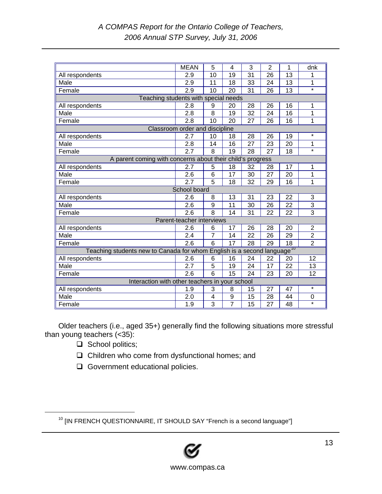|                                                                                     | <b>MEAN</b>                    | 5              | 4               | 3  | $\overline{2}$ | 1  | dnk               |
|-------------------------------------------------------------------------------------|--------------------------------|----------------|-----------------|----|----------------|----|-------------------|
| All respondents                                                                     | 2.9                            | 10             | 19              | 31 | 26             | 13 | 1                 |
| Male                                                                                | 2.9                            | 11             | 18              | 33 | 24             | 13 | 1                 |
| Female                                                                              | 2.9                            | 10             | 20              | 31 | 26             | 13 | $\star$           |
| Teaching students with special needs                                                |                                |                |                 |    |                |    |                   |
| All respondents                                                                     | 2.8                            | 9              | 20              | 28 | 26             | 16 | 1                 |
| Male                                                                                | 2.8                            | 8              | 19              | 32 | 24             | 16 | 1                 |
| Female                                                                              | 2.8                            | 10             | 20              | 27 | 26             | 16 | 1                 |
|                                                                                     | Classroom order and discipline |                |                 |    |                |    |                   |
| All respondents                                                                     | 2.7                            | 10             | 18              | 28 | 26             | 19 | $\star$           |
| Male                                                                                | 2.8                            | 14             | 16              | 27 | 23             | 20 | 1                 |
| Female                                                                              | 2.7                            | 8              | $\overline{19}$ | 28 | 27             | 18 | $\overline{\ast}$ |
| A parent coming with concerns about their child's progress                          |                                |                |                 |    |                |    |                   |
| All respondents                                                                     | 2.7                            | 5              | 18              | 32 | 28             | 17 | 1                 |
| Male                                                                                | 2.6                            | 6              | 17              | 30 | 27             | 20 | 1                 |
| Female                                                                              | 2.7                            | $\overline{5}$ | 18              | 32 | 29             | 16 | 1                 |
|                                                                                     | School board                   |                |                 |    |                |    |                   |
| All respondents                                                                     | 2.6                            | 8              | 13              | 31 | 23             | 22 | 3                 |
| Male                                                                                | 2.6                            | 9              | 11              | 30 | 26             | 22 | 3                 |
| Female                                                                              | 2.6                            | 8              | 14              | 31 | 22             | 22 | $\overline{3}$    |
|                                                                                     | Parent-teacher interviews      |                |                 |    |                |    |                   |
| All respondents                                                                     | 2.6                            | 6              | 17              | 26 | 28             | 20 | 2                 |
| Male                                                                                | 2.4                            | $\overline{7}$ | 14              | 22 | 26             | 29 | $\overline{2}$    |
| Female                                                                              | 2.6                            | 6              | $\overline{17}$ | 28 | 29             | 18 | $\overline{2}$    |
| Teaching students new to Canada for whom English is a second language <sup>10</sup> |                                |                |                 |    |                |    |                   |
| All respondents                                                                     | 2.6                            | 6              | 16              | 24 | 22             | 20 | 12                |
| Male                                                                                | 2.7                            | 5              | 19              | 24 | 17             | 22 | 13                |
| Female                                                                              | 2.6                            | $\overline{6}$ | 15              | 24 | 23             | 20 | 12                |
| Interaction with other teachers in your school                                      |                                |                |                 |    |                |    |                   |
| All respondents                                                                     | 1.9                            | 3              | 8               | 15 | 27             | 47 | $\star$           |
| Male                                                                                | 2.0                            | 4              | 9               | 15 | 28             | 44 | 0                 |
| Female                                                                              | 1.9                            | $\overline{3}$ | $\overline{7}$  | 15 | 27             | 48 | $\star$           |

Older teachers (i.e., aged 35+) generally find the following situations more stressful than young teachers (<35):

- $\Box$  School politics;
- Children who come from dysfunctional homes; and
- Government educational policies.

<span id="page-12-0"></span><sup>&</sup>lt;sup>10</sup> [IN FRENCH QUESTIONNAIRE, IT SHOULD SAY "French is a second language"]



www.compas.ca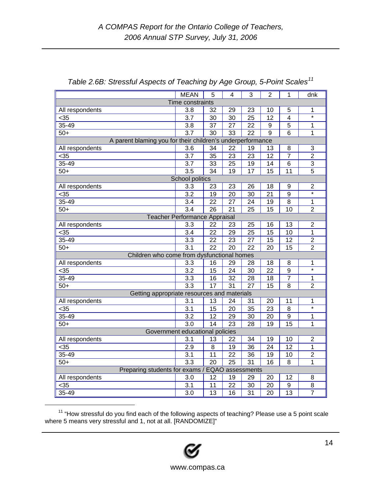|                                                            | <b>MEAN</b>      | 5               | 4               | 3               | $\overline{2}$  | 1                | dnk               |  |
|------------------------------------------------------------|------------------|-----------------|-----------------|-----------------|-----------------|------------------|-------------------|--|
| Time constraints                                           |                  |                 |                 |                 |                 |                  |                   |  |
| All respondents                                            | 3.8              | 32              | 29              | 23              | 10              | 5                | 1                 |  |
| $35$                                                       | 3.7              | 30              | 30              | 25              | 12              | $\overline{4}$   | $\star$           |  |
| $35 - 49$                                                  | 3.8              | $\overline{37}$ | 27              | 22              | 9               | $\overline{5}$   | 1                 |  |
| $50+$                                                      | 3.7              | 30              | 33              | $\overline{22}$ | 9               | 6                | 1                 |  |
| A parent blaming you for their children's underperformance |                  |                 |                 |                 |                 |                  |                   |  |
| All respondents                                            | 3.6              | 34              | 22              | 19              | 13              | 8                | 3                 |  |
| $35$                                                       | 3.7              | 35              | $\overline{23}$ | 23              | 12              | $\overline{7}$   | $\overline{2}$    |  |
| $35 - 49$                                                  | 3.7              | 33              | 25              | 19              | 14              | 6                | 3                 |  |
| $50+$                                                      | 3.5              | 34              | 19              | 17              | 15              | 11               | 5                 |  |
|                                                            | School politics  |                 |                 |                 |                 |                  |                   |  |
| All respondents                                            | 3.3              | 23              | 23              | 26              | 18              | 9                | $\overline{2}$    |  |
| $35$                                                       | $\overline{3.2}$ | 19              | 20              | 30              | $\overline{21}$ | $\overline{9}$   | $\overline{\ast}$ |  |
| $35 - 49$                                                  | 3.4              | $\overline{22}$ | 27              | 24              | 19              | 8                | 1                 |  |
| $50+$                                                      | 3.4              | 26              | 21              | 25              | 15              | 10               | $\overline{2}$    |  |
| Teacher Performance Appraisal                              |                  |                 |                 |                 |                 |                  |                   |  |
| All respondents                                            | 3.3              | 22              | 23              | 25              | 16              | 13               | $\overline{2}$    |  |
| $35$                                                       | 3.4              | 22              | 29              | 25              | 15              | 10               | $\mathbf 1$       |  |
| $35 - 49$                                                  | $\overline{3.3}$ | 22              | 23              | $\overline{27}$ | $\overline{15}$ | $\overline{12}$  | $\overline{2}$    |  |
| $50+$                                                      | 3.1              | $\overline{22}$ | $\overline{20}$ | 22              | 20              | 15               | $\overline{2}$    |  |
| Children who come from dysfunctional homes                 |                  |                 |                 |                 |                 |                  |                   |  |
| All respondents                                            | 3.3              | 16              | 29              | 28              | 18              | 8                | 1                 |  |
| $35$                                                       | 3.2              | 15              | 24              | 30              | 22              | 9                | $\overline{\ast}$ |  |
| $35 - 49$                                                  | 3.3              | 16              | 32              | 28              | 18              | $\overline{7}$   | 1                 |  |
| $50+$                                                      | 3.3              | $\overline{17}$ | $\overline{31}$ | $\overline{27}$ | $\overline{15}$ | 8                | $\overline{2}$    |  |
| Getting appropriate resources and materials                |                  |                 |                 |                 |                 |                  |                   |  |
| All respondents                                            | 3.1              | 13              | 24              | 31              | 20              | 11               | 1                 |  |
| $35$                                                       | $\overline{3.1}$ | 15              | $\overline{20}$ | $\overline{35}$ | $\overline{23}$ | 8                | $\overline{\ast}$ |  |
| 35-49                                                      | 3.2              | 12              | 29              | 30              | 20              | $\boldsymbol{9}$ | 1                 |  |
| $50+$                                                      | 3.0              | 14              | 23              | 28              | 19              | 15               | 1                 |  |
| Government educational policies                            |                  |                 |                 |                 |                 |                  |                   |  |
| All respondents                                            | 3.1              | 13              | 22              | 34              | 19              | 10               | $\overline{2}$    |  |
| $35$                                                       | 2.9              | 8               | 19              | 36              | 24              | 12               | 1                 |  |
| $35 - 49$                                                  | $\overline{3.1}$ | 11              | $\overline{22}$ | 36              | 19              | 10               | $\overline{2}$    |  |
| $50+$                                                      | $\overline{3.3}$ | $\overline{20}$ | $\overline{25}$ | $\overline{31}$ | 16              | 8                | 1                 |  |
| Preparing students for exams / EQAO assessments            |                  |                 |                 |                 |                 |                  |                   |  |
| All respondents                                            | 3.0              | 12              | 19              | 29              | 20              | 12               | 8                 |  |
| $35$                                                       | $\overline{3.1}$ | 11              | 22              | 30              | 20              | 9                | $\overline{8}$    |  |
| $35 - 49$                                                  | 3.0              | 13              | 16              | 31              | 20              | 13               | $\overline{7}$    |  |

| Table 2.6B: Stressful Aspects of Teaching by Age Group, 5-Point Scales <sup>11</sup> |  |
|--------------------------------------------------------------------------------------|--|
|                                                                                      |  |
|                                                                                      |  |

<span id="page-13-0"></span><sup>11 &</sup>quot;How stressful do you find each of the following aspects of teaching? Please use a 5 point scale where 5 means very stressful and 1, not at all. [RANDOMIZE]"

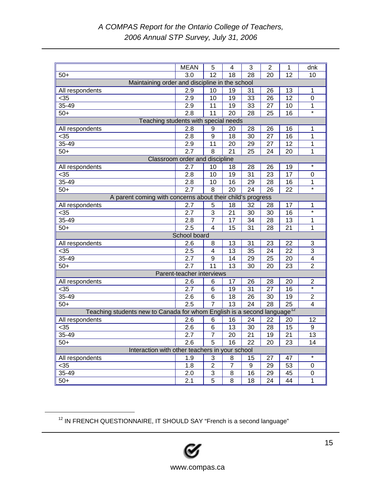|                                                                                     | <b>MEAN</b>                    | 5               | 4               | 3               | $\overline{2}$  | 1               | dnk                     |  |
|-------------------------------------------------------------------------------------|--------------------------------|-----------------|-----------------|-----------------|-----------------|-----------------|-------------------------|--|
| $50+$                                                                               | 3.0                            | 12              | 18              | 28              | 20              | 12              | 10                      |  |
| Maintaining order and discipline in the school                                      |                                |                 |                 |                 |                 |                 |                         |  |
| All respondents                                                                     | 2.9                            | 10              | 19              | 31              | 26              | 13              | 1                       |  |
| $35$                                                                                | 2.9                            | 10              | 19              | 33              | 26              | $\overline{12}$ | $\mathbf 0$             |  |
| 35-49                                                                               | 2.9                            | 11              | 19              | 33              | 27              | 10              | 1                       |  |
| $50+$                                                                               | 2.8                            | $\overline{11}$ | $\overline{20}$ | 28              | 25              | 16              | $\overline{\ast}$       |  |
| Teaching students with special needs                                                |                                |                 |                 |                 |                 |                 |                         |  |
| All respondents                                                                     | 2.8                            | 9               | 20              | 28              | 26              | 16              | 1                       |  |
| $35$                                                                                | 2.8                            | 9               | 18              | 30              | 27              | 16              | 1                       |  |
| 35-49                                                                               | 2.9                            | 11              | $\overline{20}$ | $\overline{29}$ | $\overline{27}$ | $\overline{12}$ | $\mathbf 1$             |  |
| $50+$                                                                               | 2.7                            | $\overline{8}$  | $\overline{21}$ | $\overline{25}$ | $\overline{24}$ | 20              | $\mathbf 1$             |  |
|                                                                                     | Classroom order and discipline |                 |                 |                 |                 |                 |                         |  |
| All respondents                                                                     | 2.7                            | 10              | 18              | 28              | 26              | 19              | $\star$                 |  |
| $35$                                                                                | 2.8                            | 10              | 19              | 31              | 23              | 17              | $\mathbf 0$             |  |
| 35-49                                                                               | 2.8                            | 10              | 16              | 29              | 28              | 16              | $\mathbf{1}$            |  |
| $50+$                                                                               | 2.7                            | $\overline{8}$  | $\overline{20}$ | $\overline{24}$ | $\overline{26}$ | $\overline{22}$ | $\overline{\ast}$       |  |
| A parent coming with concerns about their child's progress                          |                                |                 |                 |                 |                 |                 |                         |  |
| All respondents                                                                     | 2.7                            | 5               | 18              | 32              | 28              | 17              | 1                       |  |
| $35$                                                                                | 2.7                            | $\overline{3}$  | $\overline{21}$ | $\overline{30}$ | 30              | 16              | $\overline{\ast}$       |  |
| 35-49                                                                               | $\overline{2.8}$               | $\overline{7}$  | 17              | 34              | 28              | 13              | 1                       |  |
| $50+$                                                                               | $\overline{2.5}$               | $\overline{4}$  | $\overline{15}$ | 31              | 28              | 21              | $\mathbf{1}$            |  |
|                                                                                     | School board                   |                 |                 |                 |                 |                 |                         |  |
| All respondents                                                                     | 2.6                            | 8               | 13              | 31              | 23              | 22              | 3                       |  |
| $35$                                                                                | 2.5                            | 4               | $\overline{13}$ | 35              | $\overline{24}$ | $\overline{22}$ | $\overline{3}$          |  |
| 35-49                                                                               | 2.7                            | 9               | 14              | 29              | 25              | 20              | $\overline{\mathbf{4}}$ |  |
| $50+$                                                                               | $\overline{2.7}$               | 11              | 13              | 30              | 20              | 23              | $\overline{2}$          |  |
|                                                                                     | Parent-teacher interviews      |                 |                 |                 |                 |                 |                         |  |
| All respondents                                                                     | 2.6                            | 6               | 17              | 26              | 28              | 20              | 2                       |  |
| $35$                                                                                | 2.7                            | 6               | 19              | 31              | 27              | 16              | $\star$                 |  |
| 35-49                                                                               | $\overline{2.6}$               | 6               | 18              | $\overline{26}$ | $\overline{30}$ | 19              | $\overline{2}$          |  |
| $50+$                                                                               | 2.5                            | $\overline{7}$  | $\overline{13}$ | $\overline{24}$ | $\overline{28}$ | $\overline{25}$ | $\overline{4}$          |  |
| Teaching students new to Canada for whom English is a second language <sup>12</sup> |                                |                 |                 |                 |                 |                 |                         |  |
| All respondents                                                                     | 2.6                            | 6               | 16              | 24              | 22              | 20              | 12                      |  |
| $35$                                                                                | $\overline{2.6}$               | $\overline{6}$  | $\overline{13}$ | $\overline{30}$ | $\overline{28}$ | $\overline{15}$ | $\overline{9}$          |  |
| $35 - 49$                                                                           | 2.7                            | 7               | 20              | 21              | 19              | 21              | 13                      |  |
| $50+$                                                                               | 2.6                            | 5               | 16              | 22              | 20              | 23              | 14                      |  |
| Interaction with other teachers in your school                                      |                                |                 |                 |                 |                 |                 |                         |  |
| All respondents                                                                     | 1.9                            | 3               | 8               | 15              | 27              | 47              | $\star$                 |  |
| $35$                                                                                | 1.8                            | $\overline{2}$  | $\overline{7}$  | 9               | $\overline{29}$ | 53              | $\mathbf 0$             |  |
| 35-49                                                                               | 2.0                            | 3               | 8               | 16              | 29              | 45              | $\mathbf 0$             |  |
| $50+$                                                                               | 2.1                            | $\overline{5}$  | $\overline{8}$  | 18              | 24              | $\overline{44}$ | $\mathbf{1}$            |  |

<span id="page-14-0"></span><sup>12</sup> IN FRENCH QUESTIONNAIRE, IT SHOULD SAY "French is a second language"

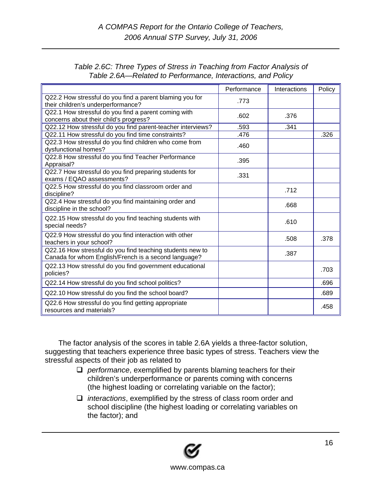| Table 2.6C: Three Types of Stress in Teaching from Factor Analysis of |  |
|-----------------------------------------------------------------------|--|
| Table 2.6A—Related to Performance, Interactions, and Policy           |  |

|                                                                                                                   | Performance | Interactions | Policy |
|-------------------------------------------------------------------------------------------------------------------|-------------|--------------|--------|
| Q22.2 How stressful do you find a parent blaming you for<br>their children's underperformance?                    | .773        |              |        |
| Q22.1 How stressful do you find a parent coming with<br>concerns about their child's progress?                    | .602        | .376         |        |
| Q22.12 How stressful do you find parent-teacher interviews?                                                       | .593        | .341         |        |
| Q22.11 How stressful do you find time constraints?                                                                | .476        |              | .326   |
| Q22.3 How stressful do you find children who come from<br>dysfunctional homes?                                    | .460        |              |        |
| Q22.8 How stressful do you find Teacher Performance<br>Appraisal?                                                 | .395        |              |        |
| Q22.7 How stressful do you find preparing students for<br>exams / EQAO assessments?                               | .331        |              |        |
| Q22.5 How stressful do you find classroom order and<br>discipline?                                                |             | .712         |        |
| Q22.4 How stressful do you find maintaining order and<br>discipline in the school?                                |             | .668         |        |
| Q22.15 How stressful do you find teaching students with<br>special needs?                                         |             | .610         |        |
| Q22.9 How stressful do you find interaction with other<br>teachers in your school?                                |             | .508         | .378   |
| Q22.16 How stressful do you find teaching students new to<br>Canada for whom English/French is a second language? |             | .387         |        |
| Q22.13 How stressful do you find government educational<br>policies?                                              |             |              | .703   |
| Q22.14 How stressful do you find school politics?                                                                 |             |              | .696   |
| Q22.10 How stressful do you find the school board?                                                                |             |              | .689   |
| Q22.6 How stressful do you find getting appropriate<br>resources and materials?                                   |             |              | .458   |

The factor analysis of the scores in table 2.6A yields a three-factor solution, suggesting that teachers experience three basic types of stress. Teachers view the stressful aspects of their job as related to

- *performance*, exemplified by parents blaming teachers for their children's underperformance or parents coming with concerns (the highest loading or correlating variable on the factor);
- *interactions*, exemplified by the stress of class room order and school discipline (the highest loading or correlating variables on the factor); and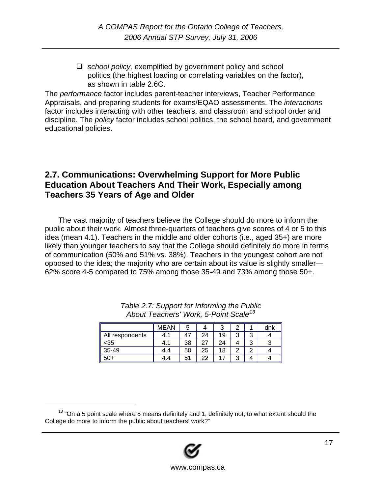<span id="page-16-0"></span> *school policy,* exemplified by government policy and school politics (the highest loading or correlating variables on the factor), as shown in table 2.6C.

The *performance* factor includes parent-teacher interviews, Teacher Performance Appraisals, and preparing students for exams/EQAO assessments. The *interactions* factor includes interacting with other teachers, and classroom and school order and discipline. The *policy* factor includes school politics, the school board, and government educational policies.

### **2.7. Communications: Overwhelming Support for More Public Education About Teachers And Their Work, Especially among Teachers 35 Years of Age and Older**

The vast majority of teachers believe the College should do more to inform the public about their work. Almost three-quarters of teachers give scores of 4 or 5 to this idea (mean 4.1). Teachers in the middle and older cohorts (i.e., aged 35+) are more likely than younger teachers to say that the College should definitely do more in terms of communication (50% and 51% vs. 38%). Teachers in the youngest cohort are not opposed to the idea; the majority who are certain about its value is slightly smaller— 62% score 4-5 compared to 75% among those 35-49 and 73% among those 50+.

|                 | <b>MEAN</b> | b  |    | ົ  |        |   | dnk |
|-----------------|-------------|----|----|----|--------|---|-----|
| All respondents | 4.1         | 47 | 24 | 19 | ົ<br>ີ | ົ |     |
| <35             | -1          | 38 | 27 | 24 |        | ົ |     |
| $35 - 49$       | 4.4         | 50 | 25 | 18 | c      | ◠ |     |
| $50+$           | 4.4         | 51 | 22 |    | ◠<br>ີ |   |     |

| Table 2.7: Support for Informing the Public       |
|---------------------------------------------------|
| About Teachers' Work, 5-Point Scale <sup>13</sup> |

<span id="page-16-1"></span> $13$  "On a 5 point scale where 5 means definitely and 1, definitely not, to what extent should the College do more to inform the public about teachers' work?"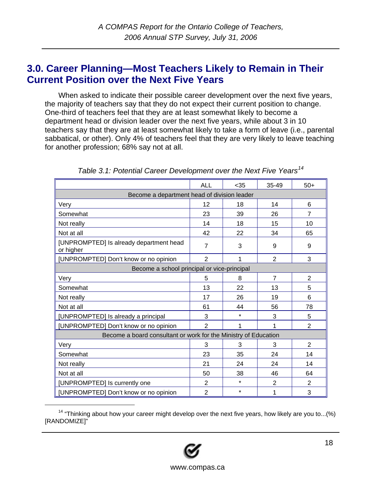## <span id="page-17-0"></span>**3.0. Career Planning—Most Teachers Likely to Remain in Their Current Position over the Next Five Years**

When asked to indicate their possible career development over the next five years, the majority of teachers say that they do not expect their current position to change. One-third of teachers feel that they are at least somewhat likely to become a department head or division leader over the next five years, while about 3 in 10 teachers say that they are at least somewhat likely to take a form of leave (i.e., parental sabbatical, or other). Only 4% of teachers feel that they are very likely to leave teaching for another profession; 68% say not at all.

|                                                                 | ALL               | < 35    | 35-49          | $50+$          |
|-----------------------------------------------------------------|-------------------|---------|----------------|----------------|
| Become a department head of division leader                     |                   |         |                |                |
| Very                                                            | $12 \overline{ }$ | 18      | 14             | 6              |
| Somewhat                                                        | 23                | 39      | 26             | 7              |
| Not really                                                      | 14                | 18      | 15             | 10             |
| Not at all                                                      | 42                | 22      | 34             | 65             |
| [UNPROMPTED] Is already department head<br>or higher            | $\overline{7}$    | 3       | 9              | 9              |
| [UNPROMPTED] Don't know or no opinion                           | $\overline{2}$    | 1       | $\overline{2}$ | 3              |
| Become a school principal or vice-principal                     |                   |         |                |                |
| Very                                                            | 5                 | 8       | $\overline{7}$ | 2              |
| Somewhat                                                        | 13                | 22      | 13             | 5              |
| Not really                                                      | 17                | 26      | 19             | 6              |
| Not at all                                                      | 61                | 44      | 56             | 78             |
| [UNPROMPTED] Is already a principal                             | 3                 | $\star$ | 3              | 5              |
| [UNPROMPTED] Don't know or no opinion                           | $\overline{2}$    | 1       | 1              | $\overline{2}$ |
| Become a board consultant or work for the Ministry of Education |                   |         |                |                |
| Very                                                            | 3                 | 3       | 3              | 2              |
| Somewhat                                                        | 23                | 35      | 24             | 14             |
| Not really                                                      | 21                | 24      | 24             | 14             |
| Not at all                                                      | 50                | 38      | 46             | 64             |
| [UNPROMPTED] Is currently one                                   | $\overline{2}$    | $\star$ | 2              | 2              |
| [UNPROMPTED] Don't know or no opinion                           | $\overline{2}$    | $\star$ | 1              | 3              |

| Table 3.1: Potential Career Development over the Next Five Years <sup>14</sup> |  |  |
|--------------------------------------------------------------------------------|--|--|
|                                                                                |  |  |

<span id="page-17-1"></span> $14$  "Thinking about how your career might develop over the next five years, how likely are you to...(%) [RANDOMIZE]"

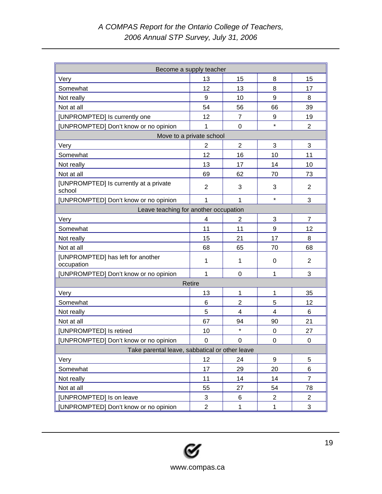| Become a supply teacher                          |                |                |                  |                |  |  |  |
|--------------------------------------------------|----------------|----------------|------------------|----------------|--|--|--|
| Very                                             | 13             | 15             | 8                | 15             |  |  |  |
| Somewhat                                         | 12             | 13             | 8                | 17             |  |  |  |
| Not really                                       | 9              | 10             | 9                | 8              |  |  |  |
| Not at all                                       | 54             | 56             | 66               | 39             |  |  |  |
| [UNPROMPTED] Is currently one                    | 12             | $\overline{7}$ | 9                | 19             |  |  |  |
| [UNPROMPTED] Don't know or no opinion            | 1              | $\overline{0}$ | $\star$          | $\overline{2}$ |  |  |  |
| Move to a private school                         |                |                |                  |                |  |  |  |
| Very                                             | $\overline{c}$ | $\overline{2}$ | 3                | 3              |  |  |  |
| Somewhat                                         | 12             | 16             | 10               | 11             |  |  |  |
| Not really                                       | 13             | 17             | 14               | 10             |  |  |  |
| Not at all                                       | 69             | 62             | 70               | 73             |  |  |  |
| [UNPROMPTED] Is currently at a private<br>school | $\overline{2}$ | 3              | 3                | $\overline{2}$ |  |  |  |
| [UNPROMPTED] Don't know or no opinion            | 1              | $\mathbf{1}$   | $\star$          | 3              |  |  |  |
| Leave teaching for another occupation            |                |                |                  |                |  |  |  |
| Very                                             | 4              | 2              | 3                | $\overline{7}$ |  |  |  |
| Somewhat                                         | 11             | 11             | 9                | 12             |  |  |  |
| Not really                                       | 15             | 21             | 17               | 8              |  |  |  |
| Not at all                                       | 68             | 65             | 70               | 68             |  |  |  |
| [UNPROMPTED] has left for another<br>occupation  | 1              | 1              | 0                | 2              |  |  |  |
| [UNPROMPTED] Don't know or no opinion            | $\mathbf{1}$   | $\overline{0}$ | 1                | 3              |  |  |  |
|                                                  | Retire         |                |                  |                |  |  |  |
| Very                                             | 13             | $\mathbf{1}$   | 1                | 35             |  |  |  |
| Somewhat                                         | 6              | $\overline{2}$ | 5                | 12             |  |  |  |
| Not really                                       | 5              | 4              | $\overline{4}$   | 6              |  |  |  |
| Not at all                                       | 67             | 94             | 90               | 21             |  |  |  |
| [UNPROMPTED] Is retired                          | 10             | $\star$        | 0                | 27             |  |  |  |
| [UNPROMPTED] Don't know or no opinion            | $\Omega$       | $\Omega$       | $\Omega$         | 0              |  |  |  |
| Take parental leave, sabbatical or other leave   |                |                |                  |                |  |  |  |
| Very                                             | 12             | 24             | $\boldsymbol{9}$ | 5              |  |  |  |
| Somewhat                                         | 17             | 29             | 20               | 6              |  |  |  |
| Not really                                       | 11             | 14             | 14               | $\overline{7}$ |  |  |  |
| Not at all                                       | 55             | 27             | 54               | 78             |  |  |  |
| [UNPROMPTED] Is on leave                         | $\sqrt{3}$     | 6              | $\overline{2}$   | $\overline{2}$ |  |  |  |
| [UNPROMPTED] Don't know or no opinion            | $\overline{2}$ | $\mathbf{1}$   | $\mathbf{1}$     | 3              |  |  |  |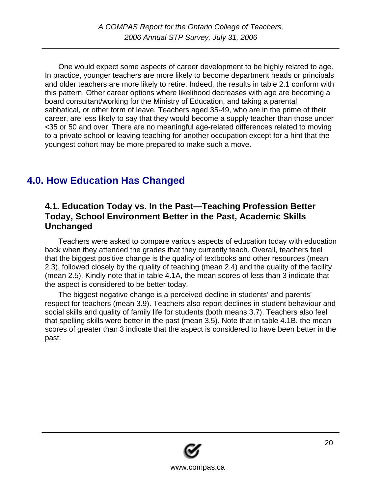<span id="page-19-0"></span>One would expect some aspects of career development to be highly related to age. In practice, younger teachers are more likely to become department heads or principals and older teachers are more likely to retire. Indeed, the results in table 2.1 conform with this pattern. Other career options where likelihood decreases with age are becoming a board consultant/working for the Ministry of Education, and taking a parental, sabbatical, or other form of leave. Teachers aged 35-49, who are in the prime of their career, are less likely to say that they would become a supply teacher than those under <35 or 50 and over. There are no meaningful age-related differences related to moving to a private school or leaving teaching for another occupation except for a hint that the youngest cohort may be more prepared to make such a move.

# **4.0. How Education Has Changed**

#### **4.1. Education Today vs. In the Past—Teaching Profession Better Today, School Environment Better in the Past, Academic Skills Unchanged**

Teachers were asked to compare various aspects of education today with education back when they attended the grades that they currently teach. Overall, teachers feel that the biggest positive change is the quality of textbooks and other resources (mean 2.3), followed closely by the quality of teaching (mean 2.4) and the quality of the facility (mean 2.5). Kindly note that in table 4.1A, the mean scores of less than 3 indicate that the aspect is considered to be better today.

The biggest negative change is a perceived decline in students' and parents' respect for teachers (mean 3.9). Teachers also report declines in student behaviour and social skills and quality of family life for students (both means 3.7). Teachers also feel that spelling skills were better in the past (mean 3.5). Note that in table 4.1B, the mean scores of greater than 3 indicate that the aspect is considered to have been better in the past.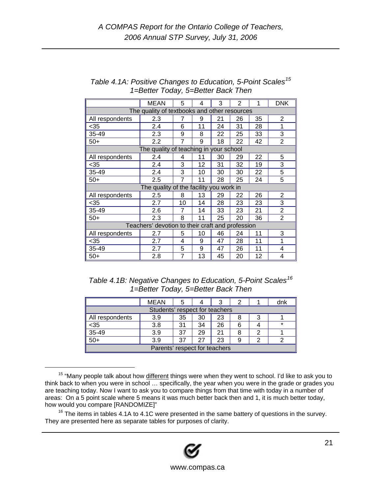|                                                  | <b>MEAN</b>                                  | 5  | 4  | 3  | $\overline{2}$ | 1  | <b>DNK</b>     |
|--------------------------------------------------|----------------------------------------------|----|----|----|----------------|----|----------------|
|                                                  | The quality of textbooks and other resources |    |    |    |                |    |                |
| All respondents                                  | 2.3                                          | 7  | 9  | 21 | 26             | 35 | $\overline{2}$ |
| $35$                                             | 2.4                                          | 6  | 11 | 24 | 31             | 28 | 1              |
| 35-49                                            | 2.3                                          | 9  | 8  | 22 | 25             | 33 | 3              |
| $50+$                                            | 2.2                                          | 7  | 9  | 18 | 22             | 42 | $\overline{2}$ |
|                                                  | The quality of teaching in your school       |    |    |    |                |    |                |
| All respondents                                  | 2.4                                          | 4  | 11 | 30 | 29             | 22 | 5              |
| $35$                                             | 2.4                                          | 3  | 12 | 31 | 32             | 19 | 3              |
| 35-49                                            | 2.4                                          | 3  | 10 | 30 | 30             | 22 | 5              |
| $50+$                                            | 2.5                                          | 7  | 11 | 28 | 25             | 24 | 5              |
|                                                  | The quality of the facility you work in      |    |    |    |                |    |                |
| All respondents                                  | 2.5                                          | 8  | 13 | 29 | 22             | 26 | 2              |
| $35$                                             | 2.7                                          | 10 | 14 | 28 | 23             | 23 | 3              |
| 35-49                                            | 2.6                                          | 7  | 14 | 33 | 23             | 21 | $\overline{2}$ |
| $50+$                                            | 2.3                                          | 8  | 11 | 25 | 20             | 36 | $\overline{2}$ |
| Teachers' devotion to their craft and profession |                                              |    |    |    |                |    |                |
| All respondents                                  | 2.7                                          | 5  | 10 | 46 | 24             | 11 | 3              |
| $35$                                             | 2.7                                          | 4  | 9  | 47 | 28             | 11 | 1              |
| 35-49                                            | 2.7                                          | 5  | 9  | 47 | 26             | 11 | 4              |
| $50+$                                            | 2.8                                          | 7  | 13 | 45 | 20             | 12 | 4              |

*Table 4.1A: Positive Changes to Education, 5-Point Scales15 1=Better Today, 5=Better Back Then* 

| Table 4.1B: Negative Changes to Education, 5-Point Scales <sup>16</sup> |
|-------------------------------------------------------------------------|
| 1=Better Today, 5=Better Back Then                                      |

|                               | MEAN                           |    |    |    |   | dnk     |
|-------------------------------|--------------------------------|----|----|----|---|---------|
|                               | Students' respect for teachers |    |    |    |   |         |
| All respondents               | 3.9                            | 35 | 30 | 23 |   |         |
| $35$                          | 3.8                            | 31 | 34 | 26 |   | $\star$ |
| $35-49$                       | 3.9                            | 37 | 29 | 21 |   |         |
| $\overline{50+}$              | 3.9                            | 37 |    | 23 | 9 |         |
| Parents' respect for teachers |                                |    |    |    |   |         |

<sup>&</sup>lt;sup>15</sup> "Many people talk about how different things were when they went to school. I'd like to ask you to think back to when you were in school … specifically, the year when you were in the grade or grades you are teaching today. Now I want to ask you to compare things from that time with today in a number of areas: On a 5 point scale where 5 means it was much better back then and 1, it is much better today, how would you compare [RANDOMIZE]"

<span id="page-20-0"></span> $16$  The items in tables 4.1A to 4.1C were presented in the same battery of questions in the survey. They are presented here as separate tables for purposes of clarity.

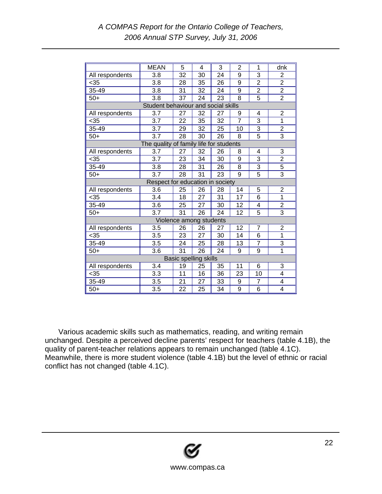|                       | <b>MEAN</b>                             | 5  | 4                       | 3               | 2              | 1                         | dnk                     |
|-----------------------|-----------------------------------------|----|-------------------------|-----------------|----------------|---------------------------|-------------------------|
| All respondents       | 3.8                                     | 32 | 30                      | 24              | 9              | 3                         | $\overline{2}$          |
| $35$                  | 3.8                                     | 28 | 35                      | 26              | 9              | $\overline{2}$            | $\overline{2}$          |
| 35-49                 | 3.8                                     | 31 | 32                      | 24              | 9              | $\overline{2}$            | $\overline{2}$          |
| $50+$                 | 3.8                                     | 37 | 24                      | 23              | 8              | 5                         | $\overline{2}$          |
|                       | Student behaviour and social skills     |    |                         |                 |                |                           |                         |
| All respondents       | 3.7                                     | 27 | 32                      | 27              | 9              | 4                         | $\overline{2}$          |
| $35$                  | 3.7                                     | 22 | 35                      | 32              | $\overline{7}$ | 3                         | 1                       |
| 35-49                 | 3.7                                     | 29 | 32                      | 25              | 10             | $\overline{\overline{3}}$ | $\overline{2}$          |
| $50+$                 | 3.7                                     | 28 | 30                      | 26              | 8              | 5                         | 3                       |
|                       | The quality of family life for students |    |                         |                 |                |                           |                         |
| All respondents       | 3.7                                     | 27 | 32                      | 26              | 8              | 4                         | 3                       |
| $35$                  | 3.7                                     | 23 | 34                      | 30              | 9              | 3                         | $\overline{2}$          |
| 35-49                 | 3.8                                     | 28 | 31                      | 26              | 8              | 3                         | 5                       |
| $50+$                 | 3.7                                     | 28 | 31                      | 23              | 9              | $\overline{5}$            | $\overline{3}$          |
|                       | Respect for education in society        |    |                         |                 |                |                           |                         |
| All respondents       | 3.6                                     | 25 | 26                      | 28              | 14             | 5                         | 2                       |
| $35$                  | $\overline{3.4}$                        | 18 | 27                      | 31              | 17             | 6                         | 1                       |
| 35-49                 | 3.6                                     | 25 | 27                      | 30              | 12             | 4                         | $\frac{2}{3}$           |
| $50+$                 | 3.7                                     | 31 | 26                      | 24              | 12             | $\overline{5}$            |                         |
|                       |                                         |    | Violence among students |                 |                |                           |                         |
| All respondents       | 3.5                                     | 26 | 26                      | 27              | 12             | $\overline{7}$            | $\overline{2}$          |
| $<$ 35                | 3.5                                     | 23 | 27                      | 30              | 14             | 6                         | $\overline{1}$          |
| 35-49                 | 3.5                                     | 24 | 25                      | 28              | 13             | $\overline{7}$            | 3                       |
| $50+$                 | 3.6                                     | 31 | 26                      | 24              | 9              | 9                         | 1                       |
| Basic spelling skills |                                         |    |                         |                 |                |                           |                         |
| All respondents       | 3.4                                     | 19 | 25                      | 35              | 11             | 6                         | 3                       |
| $35$                  | 3.3                                     | 11 | 16                      | 36              | 23             | 10                        | 4                       |
| 35-49                 | $\overline{3.5}$                        | 21 | 27                      | $\overline{33}$ | 9              | $\overline{7}$            | 4                       |
| $50+$                 | 3.5                                     | 22 | 25                      | 34              | 9              | 6                         | $\overline{\mathbf{4}}$ |

Various academic skills such as mathematics, reading, and writing remain unchanged. Despite a perceived decline parents' respect for teachers (table 4.1B), the quality of parent-teacher relations appears to remain unchanged (table 4.1C). Meanwhile, there is more student violence (table 4.1B) but the level of ethnic or racial conflict has not changed (table 4.1C).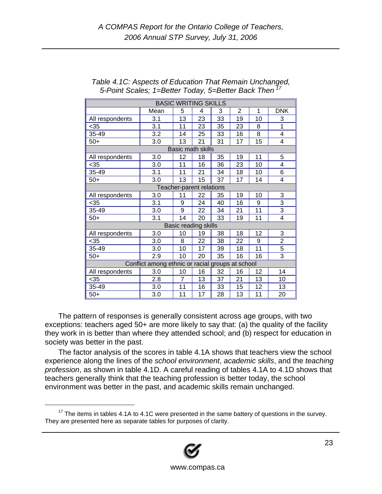|                          |                                                  |    | <b>BASIC WRITING SKILLS</b> |    |                |    |                |
|--------------------------|--------------------------------------------------|----|-----------------------------|----|----------------|----|----------------|
|                          | Mean                                             | 5  | 4                           | 3  | $\overline{2}$ | 1  | <b>DNK</b>     |
| All respondents          | 3.1                                              | 13 | 23                          | 33 | 19             | 10 | 3              |
| $<$ 35                   | 3.1                                              | 11 | 23                          | 35 | 23             | 8  | 1              |
| 35-49                    | 3.2                                              | 14 | 25                          | 33 | 16             | 8  | 4              |
| $50+$                    | 3.0                                              | 13 | 21                          | 31 | 17             | 15 | 4              |
|                          |                                                  |    | <b>Basic math skills</b>    |    |                |    |                |
| All respondents          | 3.0                                              | 12 | 18                          | 35 | 19             | 11 | 5              |
| $35$                     | 3.0                                              | 11 | 16                          | 36 | 23             | 10 | 4              |
| 35-49                    | 3.1                                              | 11 | 21                          | 34 | 18             | 10 | 6              |
| $50+$                    | 3.0                                              | 13 | 15                          | 37 | 17             | 14 | 4              |
| Teacher-parent relations |                                                  |    |                             |    |                |    |                |
| All respondents          | 3.0                                              | 11 | 22                          | 35 | 19             | 10 | 3              |
| $35$                     | 3.1                                              | 9  | 24                          | 40 | 16             | 9  | 3              |
| 35-49                    | 3.0                                              | 9  | 22                          | 34 | 21             | 11 | $\overline{3}$ |
| $50+$                    | $\overline{3.1}$                                 | 14 | 20                          | 33 | 19             | 11 | 4              |
|                          |                                                  |    | Basic reading skills        |    |                |    |                |
| All respondents          | 3.0                                              | 10 | 19                          | 38 | 18             | 12 | 3              |
| $35$                     | 3.0                                              | 8  | 22                          | 38 | 22             | 9  | $\overline{2}$ |
| 35-49                    | 3.0                                              | 10 | 17                          | 39 | 18             | 11 | 5              |
| $50+$                    | 2.9                                              | 10 | 20                          | 35 | 16             | 16 | $\overline{3}$ |
|                          | Conflict among ethnic or racial groups at school |    |                             |    |                |    |                |
| All respondents          | 3.0                                              | 10 | 16                          | 32 | 16             | 12 | 14             |
| $35$                     | 2.8                                              | 7  | 13                          | 37 | 21             | 13 | 10             |
| 35-49                    | 3.0                                              | 11 | 16                          | 33 | 15             | 12 | 13             |
| $50+$                    | 3.0                                              | 11 | 17                          | 28 | 13             | 11 | 20             |

#### *Table 4.1C: Aspects of Education That Remain Unchanged, 5-Point Scales; 1=Better Today, 5=Better Back Then [17](#page-22-0)*

The pattern of responses is generally consistent across age groups, with two exceptions: teachers aged 50+ are more likely to say that: (a) the quality of the facility they work in is better than where they attended school; and (b) respect for education in society was better in the past.

The factor analysis of the scores in table 4.1A shows that teachers view the school experience along the lines of the *school environment*, *academic skills*, and the *teaching profession*, as shown in table 4.1D. A careful reading of tables 4.1A to 4.1D shows that teachers generally think that the teaching profession is better today, the school environment was better in the past, and academic skills remain unchanged.

<span id="page-22-0"></span> $17$  The items in tables 4.1A to 4.1C were presented in the same battery of questions in the survey. They are presented here as separate tables for purposes of clarity.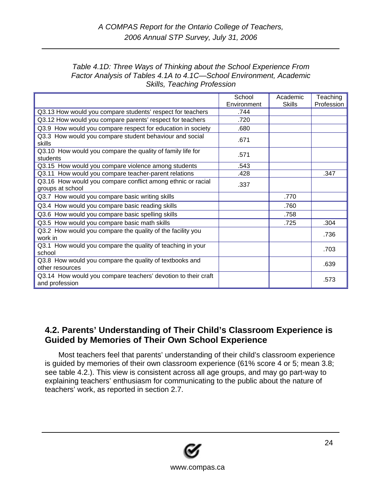#### <span id="page-23-0"></span>*Table 4.1D: Three Ways of Thinking about the School Experience From Factor Analysis of Tables 4.1A to 4.1C—School Environment, Academic Skills, Teaching Profession*

|                                                                                 | School      | Academic | Teaching   |
|---------------------------------------------------------------------------------|-------------|----------|------------|
|                                                                                 | Environment | Skills   | Profession |
| Q3.13 How would you compare students' respect for teachers                      | .744        |          |            |
| Q3.12 How would you compare parents' respect for teachers                       | .720        |          |            |
| Q3.9 How would you compare respect for education in society                     | .680        |          |            |
| Q3.3 How would you compare student behaviour and social<br>skills               | .671        |          |            |
| Q3.10 How would you compare the quality of family life for<br>students          | .571        |          |            |
| Q3.15 How would you compare violence among students                             | .543        |          |            |
| Q3.11 How would you compare teacher-parent relations                            | .428        |          | .347       |
| Q3.16 How would you compare conflict among ethnic or racial<br>groups at school | .337        |          |            |
| Q3.7 How would you compare basic writing skills                                 |             | .770     |            |
| Q3.4 How would you compare basic reading skills                                 |             | .760     |            |
| Q3.6 How would you compare basic spelling skills                                |             | .758     |            |
| Q3.5 How would you compare basic math skills                                    |             | .725     | .304       |
| Q3.2 How would you compare the quality of the facility you<br>work in           |             |          | .736       |
| Q3.1 How would you compare the quality of teaching in your<br>school            |             |          | .703       |
| Q3.8 How would you compare the quality of textbooks and<br>other resources      |             |          | .639       |
| Q3.14 How would you compare teachers' devotion to their craft<br>and profession |             |          | .573       |

### **4.2. Parents' Understanding of Their Child's Classroom Experience is Guided by Memories of Their Own School Experience**

Most teachers feel that parents' understanding of their child's classroom experience is guided by memories of their own classroom experience (61% score 4 or 5; mean 3.8; see table 4.2.). This view is consistent across all age groups, and may go part-way to explaining teachers' enthusiasm for communicating to the public about the nature of teachers' work, as reported in section 2.7.

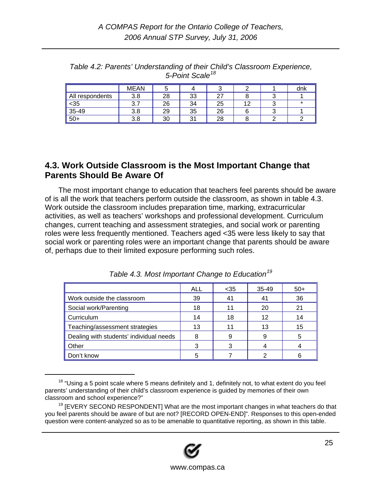|                 | <b>MEAN</b>           |    |         | ັ  |    | dnk     |
|-----------------|-----------------------|----|---------|----|----|---------|
| All respondents | 3.8                   | 28 | 33      | 27 |    |         |
| $35$            | $\Omega$ $\sim$<br>ິ. | 26 | 34      | 25 | 12 | $\star$ |
| $35 - 49$       | 3.8                   | 29 | 35      | 26 |    |         |
| $50+$           | 3.8<br>ົ              | 30 | 21<br>ີ | 28 |    |         |

<span id="page-24-0"></span>*Table 4.2: Parents' Understanding of their Child's Classroom Experience, 5-Point Scale[18](#page-24-1)*

#### **4.3. Work Outside Classroom is the Most Important Change that Parents Should Be Aware Of**

The most important change to education that teachers feel parents should be aware of is all the work that teachers perform outside the classroom, as shown in table 4.3. Work outside the classroom includes preparation time, marking, extracurricular activities, as well as teachers' workshops and professional development. Curriculum changes, current teaching and assessment strategies, and social work or parenting roles were less frequently mentioned. Teachers aged <35 were less likely to say that social work or parenting roles were an important change that parents should be aware of, perhaps due to their limited exposure performing such roles.

|                                         | <b>ALL</b> | $35$ | $35 - 49$ | $50+$ |
|-----------------------------------------|------------|------|-----------|-------|
| Work outside the classroom              | 39         | 41   | 41        | 36    |
| Social work/Parenting                   | 18         | 11   | 20        | 21    |
| Curriculum                              | 14         | 18   | 12        | 14    |
| Teaching/assessment strategies          | 13         |      | 13        | 15    |
| Dealing with students' individual needs | 8          | 9    | g         | 5     |
| Other                                   | 3          | 3    |           |       |
| Don't know                              | 5          |      |           |       |

*Table 4.3. Most Important Change to Education[19](#page-24-2)*

<span id="page-24-2"></span> $19$  [EVERY SECOND RESPONDENT] What are the most important changes in what teachers do that you feel parents should be aware of but are not? [RECORD OPEN-END]". Responses to this open-ended question were content-analyzed so as to be amenable to quantitative reporting, as shown in this table.



<span id="page-24-1"></span><sup>&</sup>lt;sup>18</sup> "Using a 5 point scale where 5 means definitely and 1, definitely not, to what extent do you feel parents' understanding of their child's classroom experience is guided by memories of their own classroom and school experience?"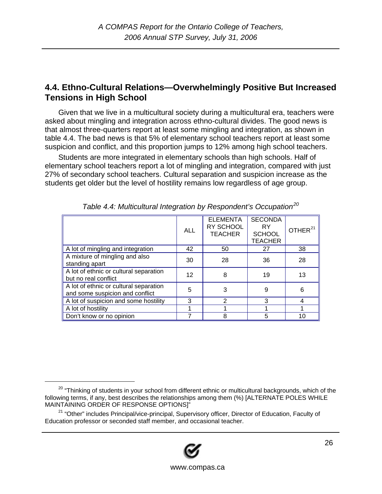### <span id="page-25-0"></span>**4.4. Ethno-Cultural Relations—Overwhelmingly Positive But Increased Tensions in High School**

Given that we live in a multicultural society during a multicultural era, teachers were asked about mingling and integration across ethno-cultural divides. The good news is that almost three-quarters report at least some mingling and integration, as shown in table 4.4. The bad news is that 5% of elementary school teachers report at least some suspicion and conflict, and this proportion jumps to 12% among high school teachers.

Students are more integrated in elementary schools than high schools. Half of elementary school teachers report a lot of mingling and integration, compared with just 27% of secondary school teachers. Cultural separation and suspicion increase as the students get older but the level of hostility remains low regardless of age group.

|                                                                           | <b>ALL</b> | <b>ELEMENTA</b><br>RY SCHOOL<br><b>TEACHER</b> | <b>SECONDA</b><br><b>RY</b><br><b>SCHOOL</b><br><b>TEACHER</b> | OTHER <sup>21</sup> |
|---------------------------------------------------------------------------|------------|------------------------------------------------|----------------------------------------------------------------|---------------------|
| A lot of mingling and integration                                         | 42         | 50                                             | 27                                                             | 38                  |
| A mixture of mingling and also<br>standing apart                          | 30         | 28                                             | 36                                                             | 28                  |
| A lot of ethnic or cultural separation<br>but no real conflict            | 12         | 8                                              | 19                                                             | 13                  |
| A lot of ethnic or cultural separation<br>and some suspicion and conflict | 5          | 3                                              | 9                                                              | 6                   |
| A lot of suspicion and some hostility                                     | 3          | 2                                              | 3                                                              | 4                   |
| A lot of hostility                                                        |            |                                                |                                                                |                     |
| Don't know or no opinion                                                  |            |                                                |                                                                | 10                  |

| Table 4.4: Multicultural Integration by Respondent's Occupation <sup>20</sup> |  |  |
|-------------------------------------------------------------------------------|--|--|
|                                                                               |  |  |
|                                                                               |  |  |

<span id="page-25-2"></span><sup>&</sup>lt;sup>21</sup> "Other" includes Principal/vice-principal, Supervisory officer, Director of Education, Faculty of Education professor or seconded staff member, and occasional teacher.



<span id="page-25-1"></span><sup>&</sup>lt;sup>20</sup> "Thinking of students in your school from different ethnic or multicultural backgrounds, which of the following terms, if any, best describes the relationships among them (%) [ALTERNATE POLES WHILE MAINTAINING ORDER OF RESPONSE OPTIONS]"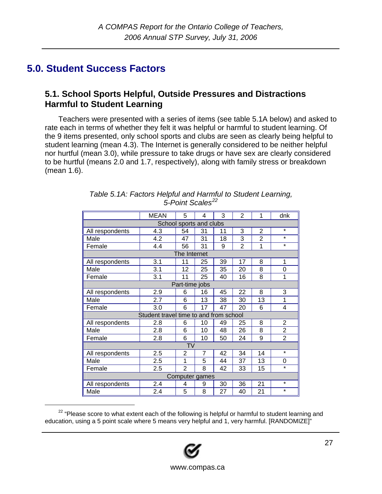# <span id="page-26-0"></span>**5.0. Student Success Factors**

#### **5.1. School Sports Helpful, Outside Pressures and Distractions Harmful to Student Learning**

Teachers were presented with a series of items (see table 5.1A below) and asked to rate each in terms of whether they felt it was helpful or harmful to student learning. Of the 9 items presented, only school sports and clubs are seen as clearly being helpful to student learning (mean 4.3). The Internet is generally considered to be neither helpful nor hurtful (mean 3.0), while pressure to take drugs or have sex are clearly considered to be hurtful (means 2.0 and 1.7, respectively), along with family stress or breakdown (mean 1.6).

|                         | <b>MEAN</b>                            | 5              | 4              | 3  | $\overline{2}$ | 1              | dnk            |
|-------------------------|----------------------------------------|----------------|----------------|----|----------------|----------------|----------------|
| School sports and clubs |                                        |                |                |    |                |                |                |
| All respondents         | 4.3                                    | 54             | 31             | 11 | 3              | $\overline{2}$ | $\star$        |
| Male                    | 4.2                                    | 47             | 31             | 18 | 3              | $\overline{2}$ | $\star$        |
| Female                  | 4.4                                    | 56             | 31             | 9  | $\overline{2}$ | 1              | $\star$        |
|                         |                                        | The Internet   |                |    |                |                |                |
| All respondents         | 3.1                                    | 11             | 25             | 39 | 17             | 8              | 1              |
| Male                    | 3.1                                    | 12             | 25             | 35 | 20             | 8              | 0              |
| Female                  | 3.1                                    | 11             | 25             | 40 | 16             | 8              | 1              |
|                         |                                        | Part-time jobs |                |    |                |                |                |
| All respondents         | 2.9                                    | 6              | 16             | 45 | 22             | 8              | 3              |
| Male                    | 2.7                                    | 6              | 13             | 38 | 30             | 13             | 1              |
| Female                  | 3.0                                    | 6              | 17             | 47 | 20             | 6              | 4              |
|                         | Student travel time to and from school |                |                |    |                |                |                |
| All respondents         | 2.8                                    | 6              | 10             | 49 | 25             | 8              | $\overline{2}$ |
| Male                    | 2.8                                    | 6              | 10             | 48 | 26             | 8              | $\overline{2}$ |
| Female                  | 2.8                                    | 6              | 10             | 50 | 24             | 9              | $\overline{2}$ |
|                         |                                        | TV             |                |    |                |                |                |
| All respondents         | 2.5                                    | 2              | 7              | 42 | 34             | 14             | $\star$        |
| Male                    | 2.5                                    | 1              | 5              | 44 | 37             | 13             | 0              |
| Female                  | 2.5                                    | $\overline{2}$ | 8              | 42 | 33             | 15             | $\star$        |
|                         |                                        |                | Computer games |    |                |                |                |
| All respondents         | 2.4                                    | 4              | 9              | 30 | 36             | 21             | $\star$        |
| Male                    | 2.4                                    | 5              | 8              | 27 | 40             | 21             | $\star$        |

| Table 5.1A: Factors Helpful and Harmful to Student Learning, |
|--------------------------------------------------------------|
| 5-Point Scales <sup>22</sup>                                 |

<span id="page-26-1"></span><sup>&</sup>lt;sup>22</sup> "Please score to what extent each of the following is helpful or harmful to student learning and education, using a 5 point scale where 5 means very helpful and 1, very harmful. [RANDOMIZE]"



www.compas.ca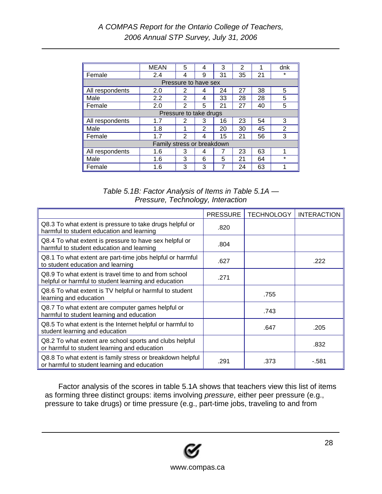|                            | <b>MEAN</b> | 5              | 4                    | 3  | 2  |    | dnk            |
|----------------------------|-------------|----------------|----------------------|----|----|----|----------------|
| Female                     | 2.4         | 4              | 9                    | 31 | 35 | 21 | $\star$        |
|                            |             |                | Pressure to have sex |    |    |    |                |
| All respondents            | 2.0         | 2              | 4                    | 24 | 27 | 38 | 5              |
| Male                       | 2.2         | $\overline{2}$ | 4                    | 33 | 28 | 28 | 5              |
| Female                     | 2.0         | 2              | 5                    | 21 | 27 | 40 | 5              |
| Pressure to take drugs     |             |                |                      |    |    |    |                |
| All respondents            | 1.7         | 2              | 3                    | 16 | 23 | 54 | 3              |
| Male                       | 1.8         | 1              | $\mathcal{P}$        | 20 | 30 | 45 | $\overline{2}$ |
| Female                     | 1.7         | 2              | 4                    | 15 | 21 | 56 | 3              |
| Family stress or breakdown |             |                |                      |    |    |    |                |
| All respondents            | 1.6         | 3              | 4                    | 7  | 23 | 63 | 1              |
| Male                       | 1.6         | 3              | 6                    | 5  | 21 | 64 | $\star$        |
| Female                     | 1.6         | 3              | 3                    |    | 24 | 63 |                |

#### *Table 5.1B: Factor Analysis of Items in Table 5.1A — Pressure, Technology, Interaction*

|                                                                                                               | <b>PRESSURE</b> | <b>TECHNOLOGY</b> | <b>INTERACTION</b> |
|---------------------------------------------------------------------------------------------------------------|-----------------|-------------------|--------------------|
| Q8.3 To what extent is pressure to take drugs helpful or<br>harmful to student education and learning         | .820            |                   |                    |
| Q8.4 To what extent is pressure to have sex helpful or<br>harmful to student education and learning           | .804            |                   |                    |
| Q8.1 To what extent are part-time jobs helpful or harmful<br>to student education and learning                | .627            |                   | .222               |
| Q8.9 To what extent is travel time to and from school<br>helpful or harmful to student learning and education | .271            |                   |                    |
| Q8.6 To what extent is TV helpful or harmful to student<br>learning and education                             |                 | .755              |                    |
| Q8.7 To what extent are computer games helpful or<br>harmful to student learning and education                |                 | .743              |                    |
| Q8.5 To what extent is the Internet helpful or harmful to<br>student learning and education                   |                 | .647              | .205               |
| Q8.2 To what extent are school sports and clubs helpful<br>or harmful to student learning and education       |                 |                   | .832               |
| Q8.8 To what extent is family stress or breakdown helpful<br>or harmful to student learning and education     | .291            | .373              | $-.581$            |

Factor analysis of the scores in table 5.1A shows that teachers view this list of items as forming three distinct groups: items involving *pressure*, either peer pressure (e.g., pressure to take drugs) or time pressure (e.g., part-time jobs, traveling to and from

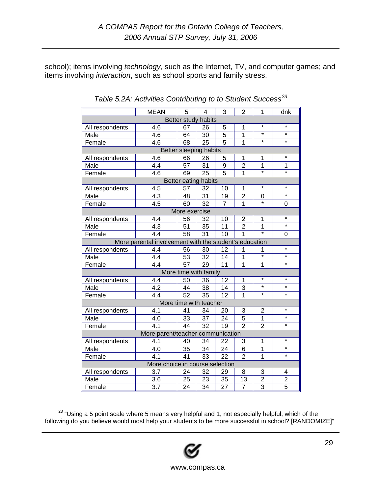school); items involving *technology*, such as the Internet, TV, and computer games; and items involving *interaction*, such as school sports and family stress.

|                 | <b>MEAN</b>                                            | 5               | $\overline{\mathbf{4}}$ | 3               | $\overline{2}$ | 1                         | dnk               |
|-----------------|--------------------------------------------------------|-----------------|-------------------------|-----------------|----------------|---------------------------|-------------------|
|                 |                                                        |                 | Better study habits     |                 |                |                           |                   |
| All respondents | 4.6                                                    | 67              | 26                      | 5               | 1              | $\star$                   | $\star$           |
| Male            | $\overline{4.6}$                                       | 64              | $\overline{30}$         | $\overline{5}$  | $\overline{1}$ | $\overline{\ast}$         | $\overline{\ast}$ |
| Female          | 4.6                                                    | 68              | 25                      | $\overline{5}$  | $\overline{1}$ | $\star$                   | $\star$           |
|                 |                                                        |                 | Better sleeping habits  |                 |                |                           |                   |
| All respondents | 4.6                                                    | 66              | 26                      | 5               | 1              | 1                         | $\star$           |
| Male            | 4.4                                                    | 57              | $\overline{31}$         | 9               | $\overline{2}$ | $\overline{1}$            | 1                 |
| Female          | $\overline{4.6}$                                       | 69              | $\overline{25}$         | $\overline{5}$  | $\overline{1}$ | $\overline{\ast}$         | $\overline{\ast}$ |
|                 |                                                        |                 | Better eating habits    |                 |                |                           |                   |
| All respondents | 4.5                                                    | 57              | 32                      | 10              | $\mathbf{1}$   | $\star$                   | $\star$           |
| Male            | $\overline{4.3}$                                       | 48              | $\overline{31}$         | 19              | $\overline{2}$ | $\overline{0}$            | $\overline{\ast}$ |
| Female          | 4.5                                                    | $\overline{60}$ | $\overline{32}$         | $\overline{7}$  | $\overline{1}$ | ∓                         | $\overline{0}$    |
|                 |                                                        | More exercise   |                         |                 |                |                           |                   |
| All respondents | $4.\overline{4}$                                       | 56              | 32                      | 10              | $\overline{2}$ | 1                         | $\star$           |
| Male            | $\overline{4.3}$                                       | 51              | 35                      | 11              | $\overline{2}$ | 1                         | $\star$           |
| Female          | $\overline{4.4}$                                       | $\overline{58}$ | $\overline{31}$         | $\overline{10}$ | $\overline{1}$ | $\overline{\ast}$         | 0                 |
|                 | More parental involvement with the student's education |                 |                         |                 |                |                           |                   |
| All respondents | 4.4                                                    | 56              | 30                      | 12              | 1              | 1                         | $\overline{\ast}$ |
| Male            | 4.4                                                    | 53              | 32                      | 14              | $\mathbf{1}$   | $\star$                   | $\star$           |
| Female          | $\overline{4.4}$                                       | $\overline{57}$ | $\overline{29}$         | $\overline{11}$ | $\overline{1}$ | $\mathbf{1}$              | $\star$           |
|                 |                                                        |                 | More time with family   |                 |                |                           |                   |
| All respondents | 4.4                                                    | 50              | 36                      | 12              | $\mathbf{1}$   | $\star$                   | $\star$           |
| Male            | 4.2                                                    | 44              | 38                      | 14              | 3              | $\star$                   | $\star$           |
| Female          | $\overline{4.4}$                                       | $\overline{52}$ | $\overline{35}$         | $\overline{12}$ | $\overline{1}$ | $\overline{\ast}$         | $\overline{\ast}$ |
|                 |                                                        |                 | More time with teacher  |                 |                |                           |                   |
| All respondents | 4.1                                                    | 41              | 34                      | 20              | 3              | $\overline{2}$            | $\star$           |
| Male            | 4.0                                                    | 33              | 37                      | 24              | $\overline{5}$ | $\mathbf{1}$              | $\star$           |
| Female          | $\overline{4.1}$                                       | $\overline{44}$ | $\overline{32}$         | $\overline{19}$ | $\overline{2}$ | $\overline{2}$            | $\overline{\ast}$ |
|                 | More parent/teacher communication                      |                 |                         |                 |                |                           |                   |
| All respondents | 4.1                                                    | 40              | 34                      | 22              | 3              | 1                         | $\star$           |
| Male            | 4.0                                                    | 35              | 34                      | 24              | 6              | $\overline{1}$            | $\star$           |
| Female          | 4.1                                                    | $\overline{41}$ | $\overline{33}$         | $\overline{22}$ | $\overline{2}$ | $\overline{1}$            | $\star$           |
|                 | More choice in course selection                        |                 |                         |                 |                |                           |                   |
| All respondents | 3.7                                                    | 24              | 32                      | 29              | 8              | 3                         | 4                 |
| Male            | 3.6                                                    | 25              | 23                      | 35              | 13             | $\overline{2}$            | $\overline{c}$    |
| Female          | 3.7                                                    | 24              | 34                      | 27              | 7              | $\overline{\overline{3}}$ | $\overline{5}$    |

*Table 5.2A: Activities Contributing to to Student Success[23](#page-28-0)*

<span id="page-28-0"></span><sup>&</sup>lt;sup>23</sup> "Using a 5 point scale where 5 means very helpful and 1, not especially helpful, which of the following do you believe would most help your students to be more successful in school? [RANDOMIZE]"

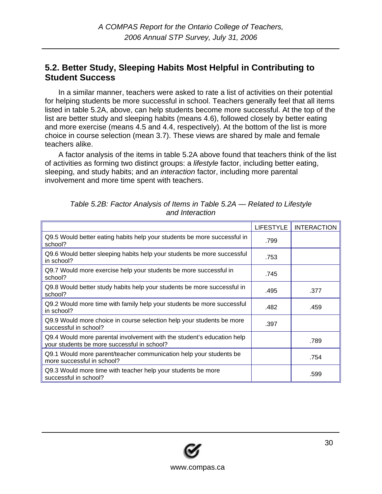#### <span id="page-29-0"></span>**5.2. Better Study, Sleeping Habits Most Helpful in Contributing to Student Success**

In a similar manner, teachers were asked to rate a list of activities on their potential for helping students be more successful in school. Teachers generally feel that all items listed in table 5.2A, above, can help students become more successful. At the top of the list are better study and sleeping habits (means 4.6), followed closely by better eating and more exercise (means 4.5 and 4.4, respectively). At the bottom of the list is more choice in course selection (mean 3.7). These views are shared by male and female teachers alike.

A factor analysis of the items in table 5.2A above found that teachers think of the list of activities as forming two distinct groups: a *lifestyle* factor, including better eating, sleeping, and study habits; and an *interaction* factor, including more parental involvement and more time spent with teachers.

|                                                                                                                       | <b>LIFESTYLE</b> | <b>INTERACTION</b> |
|-----------------------------------------------------------------------------------------------------------------------|------------------|--------------------|
| Q9.5 Would better eating habits help your students be more successful in<br>school?                                   | .799             |                    |
| Q9.6 Would better sleeping habits help your students be more successful<br>in school?                                 | .753             |                    |
| Q9.7 Would more exercise help your students be more successful in<br>school?                                          | .745             |                    |
| Q9.8 Would better study habits help your students be more successful in<br>school?                                    | .495             | .377               |
| Q9.2 Would more time with family help your students be more successful<br>in school?                                  | .482             | .459               |
| Q9.9 Would more choice in course selection help your students be more<br>successful in school?                        | .397             |                    |
| Q9.4 Would more parental involvement with the student's education help<br>your students be more successful in school? |                  | .789               |
| Q9.1 Would more parent/teacher communication help your students be<br>more successful in school?                      |                  | .754               |
| Q9.3 Would more time with teacher help your students be more<br>successful in school?                                 |                  | .599               |

*Table 5.2B: Factor Analysis of Items in Table 5.2A — Related to Lifestyle and Interaction* 

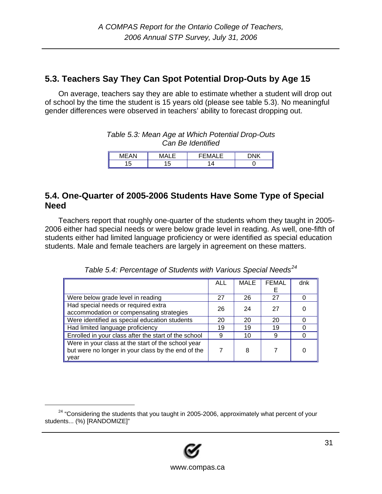### <span id="page-30-0"></span>**5.3. Teachers Say They Can Spot Potential Drop-Outs by Age 15**

On average, teachers say they are able to estimate whether a student will drop out of school by the time the student is 15 years old (please see table 5.3). No meaningful gender differences were observed in teachers' ability to forecast dropping out.

| Table 5.3: Mean Age at Which Potential Drop-Outs |
|--------------------------------------------------|
| Can Be Identified                                |

| <b>A A I</b><br><b>B</b> <i>B</i><br>W. | . .       | 1V) | <b>DNIV</b> |
|-----------------------------------------|-----------|-----|-------------|
| 11<br>ں،                                | בי<br>ں ، |     |             |

#### **5.4. One-Quarter of 2005-2006 Students Have Some Type of Special Need**

Teachers report that roughly one-quarter of the students whom they taught in 2005- 2006 either had special needs or were below grade level in reading. As well, one-fifth of students either had limited language proficiency or were identified as special education students. Male and female teachers are largely in agreement on these matters.

|                                                      | ALL | <b>MALE</b> | <b>FEMAL</b> | dnk |
|------------------------------------------------------|-----|-------------|--------------|-----|
|                                                      |     |             | F            |     |
| Were below grade level in reading                    | 27  | 26          | 27           |     |
| Had special needs or required extra                  | 26  | 24          | 27           |     |
| accommodation or compensating strategies             |     |             |              |     |
| Were identified as special education students        | 20  | 20          | 20           |     |
| Had limited language proficiency                     | 19  | 19          | 19           |     |
| Enrolled in your class after the start of the school | 9   | 10          | 9            |     |
| Were in your class at the start of the school year   |     |             |              |     |
| but were no longer in your class by the end of the   |     | 8           |              | 0   |
| year                                                 |     |             |              |     |

*Table 5.4: Percentage of Students with Various Special Needs[24](#page-30-1)*

<span id="page-30-1"></span> $24$  "Considering the students that you taught in 2005-2006, approximately what percent of your students... (%) [RANDOMIZE]"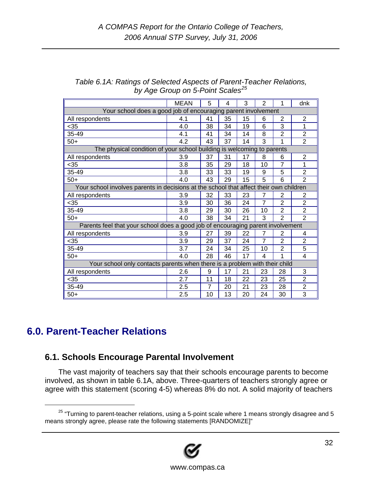|                                                                                        | <b>MEAN</b> | 5              | 4  | 3  | $\overline{2}$ |                | dnk            |
|----------------------------------------------------------------------------------------|-------------|----------------|----|----|----------------|----------------|----------------|
| Your school does a good job of encouraging parent involvement                          |             |                |    |    |                |                |                |
| All respondents                                                                        | 4.1         | 41             | 35 | 15 | 6              | 2              | 2              |
| $35$                                                                                   | 4.0         | 38             | 34 | 19 | 6              | 3              | 1              |
| 35-49                                                                                  | 4.1         | 41             | 34 | 14 | 8              | 2              | 2              |
| $50+$                                                                                  | 4.2         | 43             | 37 | 14 | 3              | 1              | $\overline{2}$ |
| The physical condition of your school building is welcoming to parents                 |             |                |    |    |                |                |                |
| All respondents                                                                        | 3.9         | 37             | 31 | 17 | 8              | 6              | $\overline{2}$ |
| $35$                                                                                   | 3.8         | 35             | 29 | 18 | 10             | 7              | 1              |
| 35-49                                                                                  | 3.8         | 33             | 33 | 19 | 9              | 5              | $\overline{2}$ |
| $50+$                                                                                  | 4.0         | 43             | 29 | 15 | 5              | 6              | $\overline{2}$ |
| Your school involves parents in decisions at the school that affect their own children |             |                |    |    |                |                |                |
| All respondents                                                                        | 3.9         | 32             | 33 | 23 | $\overline{7}$ | $\overline{2}$ | 2              |
| $35$                                                                                   | 3.9         | 30             | 36 | 24 | $\overline{7}$ | $\overline{2}$ | $\overline{2}$ |
| 35-49                                                                                  | 3.8         | 29             | 30 | 26 | 10             | $\overline{2}$ | $\overline{2}$ |
| $50+$                                                                                  | 4.0         | 38             | 34 | 21 | 3              | $\overline{2}$ | $\overline{2}$ |
| Parents feel that your school does a good job of encouraging parent involvement        |             |                |    |    |                |                |                |
| All respondents                                                                        | 3.9         | 27             | 39 | 22 | 7              | $\overline{2}$ | 4              |
| $35$                                                                                   | 3.9         | 29             | 37 | 24 | $\overline{7}$ | $\overline{2}$ | $\overline{2}$ |
| 35-49                                                                                  | 3.7         | 24             | 34 | 25 | 10             | $\overline{2}$ | 5              |
| $50+$                                                                                  | 4.0         | 28             | 46 | 17 | $\overline{4}$ | 1              | 4              |
| Your school only contacts parents when there is a problem with their child             |             |                |    |    |                |                |                |
| All respondents                                                                        | 2.6         | 9              | 17 | 21 | 23             | 28             | 3              |
| $35$                                                                                   | 2.7         | 11             | 18 | 22 | 23             | 25             | $\overline{2}$ |
| 35-49                                                                                  | 2.5         | $\overline{7}$ | 20 | 21 | 23             | 28             | $\overline{2}$ |
| $50+$                                                                                  | 2.5         | 10             | 13 | 20 | 24             | 30             | 3              |

#### <span id="page-31-0"></span>*Table 6.1A: Ratings of Selected Aspects of Parent-Teacher Relations, by Age Group on 5-Point Scales[25](#page-31-1)*

# **6.0. Parent-Teacher Relations**

### **6.1. Schools Encourage Parental Involvement**

The vast majority of teachers say that their schools encourage parents to become involved, as shown in table 6.1A, above. Three-quarters of teachers strongly agree or agree with this statement (scoring 4-5) whereas 8% do not. A solid majority of teachers

<span id="page-31-1"></span> $25$  "Turning to parent-teacher relations, using a 5-point scale where 1 means strongly disagree and 5 means strongly agree, please rate the following statements [RANDOMIZE]"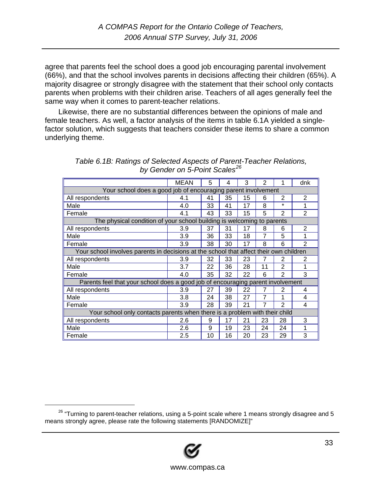agree that parents feel the school does a good job encouraging parental involvement (66%), and that the school involves parents in decisions affecting their children (65%). A majority disagree or strongly disagree with the statement that their school only contacts parents when problems with their children arise. Teachers of all ages generally feel the same way when it comes to parent-teacher relations.

Likewise, there are no substantial differences between the opinions of male and female teachers. As well, a factor analysis of the items in table 6.1A yielded a singlefactor solution, which suggests that teachers consider these items to share a common underlying theme.

|                                                                                        | <b>MEAN</b> | 5  | 4  | 3  | 2  |                | dnk            |
|----------------------------------------------------------------------------------------|-------------|----|----|----|----|----------------|----------------|
| Your school does a good job of encouraging parent involvement                          |             |    |    |    |    |                |                |
| All respondents                                                                        | 4.1         | 41 | 35 | 15 | 6  | $\overline{2}$ | 2              |
| Male                                                                                   | 4.0         | 33 | 41 | 17 | 8  | $\star$        | 1              |
| Female                                                                                 | 4.1         | 43 | 33 | 15 | 5  | $\overline{2}$ | $\overline{2}$ |
| The physical condition of your school building is welcoming to parents                 |             |    |    |    |    |                |                |
| All respondents                                                                        | 3.9         | 37 | 31 | 17 | 8  | 6              | $\overline{2}$ |
| Male                                                                                   | 3.9         | 36 | 33 | 18 | 7  | 5              | 1              |
| Female                                                                                 | 3.9         | 38 | 30 | 17 | 8  | 6              | $\overline{2}$ |
| Your school involves parents in decisions at the school that affect their own children |             |    |    |    |    |                |                |
| All respondents                                                                        | 3.9         | 32 | 33 | 23 | 7  | 2              | 2              |
| Male                                                                                   | 3.7         | 22 | 36 | 28 | 11 | $\overline{2}$ |                |
| Female                                                                                 | 4.0         | 35 | 32 | 22 | 6  | 2              | 3              |
| Parents feel that your school does a good job of encouraging parent involvement        |             |    |    |    |    |                |                |
| All respondents                                                                        | 3.9         | 27 | 39 | 22 | 7  | 2              | 4              |
| Male                                                                                   | 3.8         | 24 | 38 | 27 | 7  | 1              | 4              |
| Female                                                                                 | 3.9         | 28 | 39 | 21 | 7  | $\overline{2}$ | 4              |
| Your school only contacts parents when there is a problem with their child             |             |    |    |    |    |                |                |
| All respondents                                                                        | 2.6         | 9  | 17 | 21 | 23 | 28             | 3              |
| Male                                                                                   | 2.6         | 9  | 19 | 23 | 24 | 24             |                |
| Female                                                                                 | 2.5         | 10 | 16 | 20 | 23 | 29             | 3              |

*Table 6.1B: Ratings of Selected Aspects of Parent-Teacher Relations, by Gender on 5-Point Scales[26](#page-32-0)*

<span id="page-32-0"></span> $26$  "Turning to parent-teacher relations, using a 5-point scale where 1 means strongly disagree and 5 means strongly agree, please rate the following statements [RANDOMIZE]"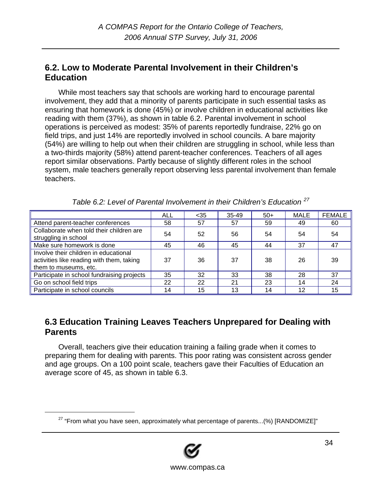### <span id="page-33-0"></span>**6.2. Low to Moderate Parental Involvement in their Children's Education**

While most teachers say that schools are working hard to encourage parental involvement, they add that a minority of parents participate in such essential tasks as ensuring that homework is done (45%) or involve children in educational activities like reading with them (37%), as shown in table 6.2. Parental involvement in school operations is perceived as modest: 35% of parents reportedly fundraise, 22% go on field trips, and just 14% are reportedly involved in school councils. A bare majority (54%) are willing to help out when their children are struggling in school, while less than a two-thirds majority (58%) attend parent-teacher conferences. Teachers of all ages report similar observations. Partly because of slightly different roles in the school system, male teachers generally report observing less parental involvement than female teachers.

|                                                                                                             | <b>ALL</b> | $35$ | $35 - 49$ | $50+$ | <b>MALE</b> | <b>FEMALE</b> |
|-------------------------------------------------------------------------------------------------------------|------------|------|-----------|-------|-------------|---------------|
| Attend parent-teacher conferences                                                                           | 58         | 57   | 57        | 59    | 49          | 60            |
| Collaborate when told their children are<br>struggling in school                                            | 54         | 52   | 56        | 54    | 54          | 54            |
| Make sure homework is done                                                                                  | 45         | 46   | 45        | 44    | 37          | 47            |
| Involve their children in educational<br>activities like reading with them, taking<br>them to museums, etc. | 37         | 36   | 37        | 38    | 26          | 39            |
| Participate in school fundraising projects                                                                  | 35         | 32   | 33        | 38    | 28          | 37            |
| Go on school field trips                                                                                    | 22         | 22   | 21        | 23    | 14          | 24            |
| Participate in school councils                                                                              | 14         | 15   | 13        | 14    | 12          | 15            |

*Table 6.2: Level of Parental Involvement in their Children's Education [27](#page-33-1)*

#### **6.3 Education Training Leaves Teachers Unprepared for Dealing with Parents**

Overall, teachers give their education training a failing grade when it comes to preparing them for dealing with parents. This poor rating was consistent across gender and age groups. On a 100 point scale, teachers gave their Faculties of Education an average score of 45, as shown in table 6.3.

<span id="page-33-1"></span> $27$  "From what you have seen, approximately what percentage of parents...(%) [RANDOMIZE]"

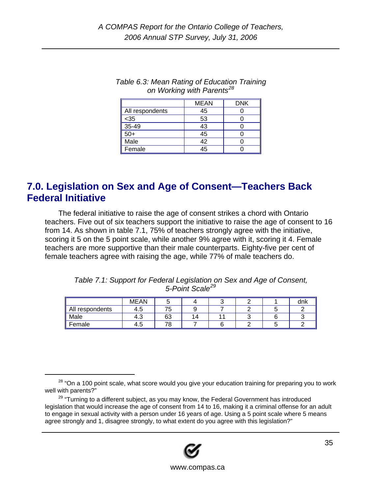|                 | <b>MEAN</b> | <b>DNK</b> |
|-----------------|-------------|------------|
| All respondents | 45          |            |
| $35$            | 53          |            |
| 35-49           | 43          |            |
| $50+$           | 45          |            |
| Male            | 42          |            |
| Female          | 45          |            |

#### <span id="page-34-0"></span>*Table 6.3: Mean Rating of Education Training on Working with Parents[28](#page-34-1)*

## **7.0. Legislation on Sex and Age of Consent—Teachers Back Federal Initiative**

The federal initiative to raise the age of consent strikes a chord with Ontario teachers. Five out of six teachers support the initiative to raise the age of consent to 16 from 14. As shown in table 7.1, 75% of teachers strongly agree with the initiative, scoring it 5 on the 5 point scale, while another 9% agree with it, scoring it 4. Female teachers are more supportive than their male counterparts. Eighty-five per cent of female teachers agree with raising the age, while 77% of male teachers do.

| Table 7.1: Support for Federal Legislation on Sex and Age of Consent, |
|-----------------------------------------------------------------------|
| 5-Point Scale <sup>29</sup>                                           |

|                 | MEAN |    |    |  | dnk |
|-----------------|------|----|----|--|-----|
| All respondents | 4.5  | 76 |    |  |     |
| Male            | -4.ఎ | 63 | 14 |  |     |
| Female          | 4.5  | 70 |    |  |     |

<span id="page-34-2"></span><sup>&</sup>lt;sup>29</sup> "Turning to a different subject, as you may know, the Federal Government has introduced legislation that would increase the age of consent from 14 to 16, making it a criminal offense for an adult to engage in sexual activity with a person under 16 years of age. Using a 5 point scale where 5 means agree strongly and 1, disagree strongly, to what extent do you agree with this legislation?"



<span id="page-34-1"></span> $28$  "On a 100 point scale, what score would you give your education training for preparing you to work well with parents?"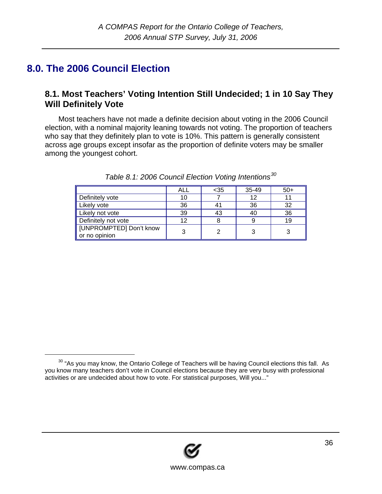# <span id="page-35-0"></span>**8.0. The 2006 Council Election**

### **8.1. Most Teachers' Voting Intention Still Undecided; 1 in 10 Say They Will Definitely Vote**

Most teachers have not made a definite decision about voting in the 2006 Council election, with a nominal majority leaning towards not voting. The proportion of teachers who say that they definitely plan to vote is 10%. This pattern is generally consistent across age groups except insofar as the proportion of definite voters may be smaller among the youngest cohort.

|                                          | ALL | $35$ | 35-49 | $50+$ |
|------------------------------------------|-----|------|-------|-------|
| Definitely vote                          |     |      | 12    |       |
| Likely vote                              | 36  | 41   | 36    | 32    |
| Likely not vote                          | 39  | 43   | 40    | 36    |
| Definitely not vote                      |     |      |       | 19    |
| [UNPROMPTED] Don't know<br>or no opinion |     |      | っ     |       |

|  | Table 8.1: 2006 Council Election Voting Intentions <sup>30</sup> |
|--|------------------------------------------------------------------|
|  |                                                                  |
|  |                                                                  |



<span id="page-35-1"></span><sup>&</sup>lt;sup>30</sup> "As you may know, the Ontario College of Teachers will be having Council elections this fall. As you know many teachers don't vote in Council elections because they are very busy with professional activities or are undecided about how to vote. For statistical purposes, Will you..."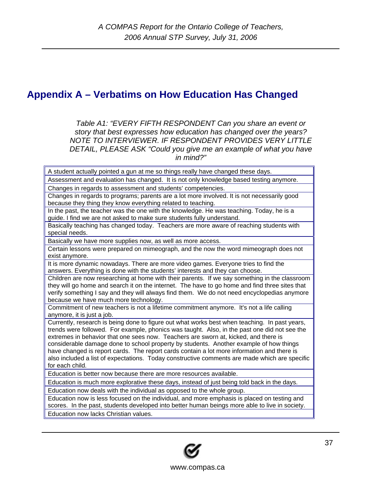# <span id="page-36-0"></span>**Appendix A – Verbatims on How Education Has Changed**

*Table A1: "EVERY FIFTH RESPONDENT Can you share an event or story that best expresses how education has changed over the years? NOTE TO INTERVIEWER. IF RESPONDENT PROVIDES VERY LITTLE DETAIL, PLEASE ASK "Could you give me an example of what you have in mind?"* 

A student actually pointed a gun at me so things really have changed these days. Assessment and evaluation has changed. It is not only knowledge based testing anymore. Changes in regards to assessment and students' competencies. Changes in regards to programs; parents are a lot more involved. It is not necessarily good because they thing they know everything related to teaching. In the past, the teacher was the one with the knowledge. He was teaching. Today, he is a guide. I find we are not asked to make sure students fully understand. Basically teaching has changed today. Teachers are more aware of reaching students with special needs. Basically we have more supplies now, as well as more access. Certain lessons were prepared on mimeograph, and the now the word mimeograph does not exist anymore. It is more dynamic nowadays. There are more video games. Everyone tries to find the answers. Everything is done with the students' interests and they can choose. Children are now researching at home with their parents. If we say something in the classroom they will go home and search it on the internet. The have to go home and find three sites that verify something I say and they will always find them. We do not need encyclopedias anymore because we have much more technology. Commitment of new teachers is not a lifetime commitment anymore. It's not a life calling anymore, it is just a job. Currently, research is being done to figure out what works best when teaching. In past years, trends were followed. For example, phonics was taught. Also, in the past one did not see the extremes in behavior that one sees now. Teachers are sworn at, kicked, and there is considerable damage done to school property by students. Another example of how things have changed is report cards. The report cards contain a lot more information and there is also included a list of expectations. Today constructive comments are made which are specific for each child. Education is better now because there are more resources available. Education is much more explorative these days, instead of just being told back in the days. Education now deals with the individual as opposed to the whole group. Education now is less focused on the individual, and more emphasis is placed on testing and scores. In the past, students developed into better human beings more able to live in society. Education now lacks Christian values.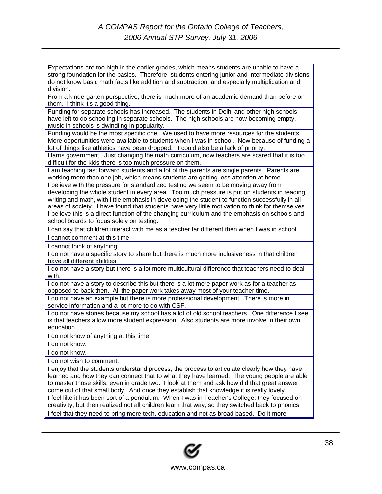Expectations are too high in the earlier grades, which means students are unable to have a strong foundation for the basics. Therefore, students entering junior and intermediate divisions do not know basic math facts like addition and subtraction, and especially multiplication and division.

From a kindergarten perspective, there is much more of an academic demand than before on them. I think it's a good thing.

Funding for separate schools has increased. The students in Delhi and other high schools have left to do schooling in separate schools. The high schools are now becoming empty. Music in schools is dwindling in popularity.

Funding would be the most specific one. We used to have more resources for the students. More opportunities were available to students when I was in school. Now because of funding a lot of things like athletics have been dropped. It could also be a lack of priority.

Harris government. Just changing the math curriculum, now teachers are scared that it is too difficult for the kids there is too much pressure on them.

I am teaching fast forward students and a lot of the parents are single parents. Parents are working more than one job, which means students are getting less attention at home.

I believe with the pressure for standardized testing we seem to be moving away from developing the whole student in every area. Too much pressure is put on students in reading, writing and math, with little emphasis in developing the student to function successfully in all areas of society. I have found that students have very little motivation to think for themselves. I believe this is a direct function of the changing curriculum and the emphasis on schools and school boards to focus solely on testing.

I can say that children interact with me as a teacher far different then when I was in school.

I cannot comment at this time.

I cannot think of anything.

I do not have a specific story to share but there is much more inclusiveness in that children have all different abilities.

I do not have a story but there is a lot more multicultural difference that teachers need to deal with.

I do not have a story to describe this but there is a lot more paper work as for a teacher as opposed to back then. All the paper work takes away most of your teacher time.

I do not have an example but there is more professional development. There is more in service information and a lot more to do with CSF.

I do not have stories because my school has a lot of old school teachers. One difference I see is that teachers allow more student expression. Also students are more involve in their own education.

I do not know of anything at this time.

I do not know.

I do not know.

I do not wish to comment.

I enjoy that the students understand process, the process to articulate clearly how they have learned and how they can connect that to what they have learned. The young people are able to master those skills, even in grade two. I look at them and ask how did that great answer come out of that small body. And once they establish that knowledge it is really lovely. I feel like it has been sort of a pendulum. When I was in Teacher's College, they focused on creativity, but then realized not all children learn that way, so they switched back to phonics. I feel that they need to bring more tech. education and not as broad based. Do it more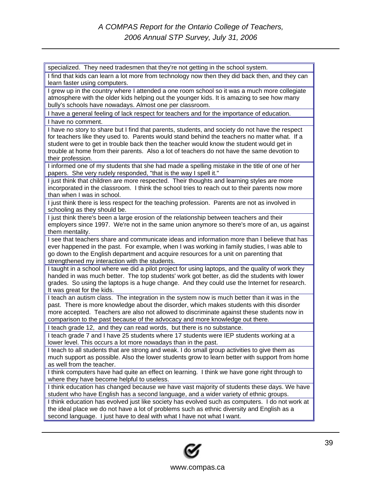| specialized. They need tradesmen that they're not getting in the school system.                   |  |  |  |
|---------------------------------------------------------------------------------------------------|--|--|--|
| I find that kids can learn a lot more from technology now then they did back then, and they can   |  |  |  |
| learn faster using computers.                                                                     |  |  |  |
| I grew up in the country where I attended a one room school so it was a much more collegiate      |  |  |  |
| atmosphere with the older kids helping out the younger kids. It is amazing to see how many        |  |  |  |
| bully's schools have nowadays. Almost one per classroom.                                          |  |  |  |
| I have a general feeling of lack respect for teachers and for the importance of education.        |  |  |  |
| I have no comment.                                                                                |  |  |  |
| I have no story to share but I find that parents, students, and society do not have the respect   |  |  |  |
| for teachers like they used to. Parents would stand behind the teachers no matter what. If a      |  |  |  |
| student were to get in trouble back then the teacher would know the student would get in          |  |  |  |
| trouble at home from their parents. Also a lot of teachers do not have the same devotion to       |  |  |  |
| their profession.                                                                                 |  |  |  |
| I informed one of my students that she had made a spelling mistake in the title of one of her     |  |  |  |
| papers. She very rudely responded, "that is the way I spell it."                                  |  |  |  |
| I just think that children are more respected. Their thoughts and learning styles are more        |  |  |  |
| incorporated in the classroom. I think the school tries to reach out to their parents now more    |  |  |  |
| than when I was in school.                                                                        |  |  |  |
| I just think there is less respect for the teaching profession. Parents are not as involved in    |  |  |  |
| schooling as they should be.                                                                      |  |  |  |
| I just think there's been a large erosion of the relationship between teachers and their          |  |  |  |
| employers since 1997. We're not in the same union anymore so there's more of an, us against       |  |  |  |
| them mentality.                                                                                   |  |  |  |
| I see that teachers share and communicate ideas and information more than I believe that has      |  |  |  |
| ever happened in the past. For example, when I was working in family studies, I was able to       |  |  |  |
| go down to the English department and acquire resources for a unit on parenting that              |  |  |  |
| strengthened my interaction with the students.                                                    |  |  |  |
| I taught in a school where we did a pilot project for using laptops, and the quality of work they |  |  |  |
| handed in was much better. The top students' work got better, as did the students with lower      |  |  |  |
| grades. So using the laptops is a huge change. And they could use the Internet for research.      |  |  |  |
| It was great for the kids.                                                                        |  |  |  |
| I teach an autism class. The integration in the system now is much better than it was in the      |  |  |  |
| past. There is more knowledge about the disorder, which makes students with this disorder         |  |  |  |
| more accepted. Teachers are also not allowed to discriminate against these students now in        |  |  |  |
| comparison to the past because of the advocacy and more knowledge out there.                      |  |  |  |
| I teach grade 12, and they can read words, but there is no substance.                             |  |  |  |
| I teach grade 7 and I have 25 students where 17 students were IEP students working at a           |  |  |  |
| lower level. This occurs a lot more nowadays than in the past.                                    |  |  |  |
| I teach to all students that are strong and weak. I do small group activities to give them as     |  |  |  |
| much support as possible. Also the lower students grow to learn better with support from home     |  |  |  |
| as well from the teacher.                                                                         |  |  |  |
| I think computers have had quite an effect on learning. I think we have gone right through to     |  |  |  |
| where they have become helpful to useless.                                                        |  |  |  |
| I think education has changed because we have vast majority of students these days. We have       |  |  |  |
| student who have English has a second language, and a wider variety of ethnic groups.             |  |  |  |
| I think education has evolved just like society has evolved such as computers. I do not work at   |  |  |  |
| the ideal place we do not have a lot of problems such as ethnic diversity and English as a        |  |  |  |
| second language. I just have to deal with what I have not what I want.                            |  |  |  |
|                                                                                                   |  |  |  |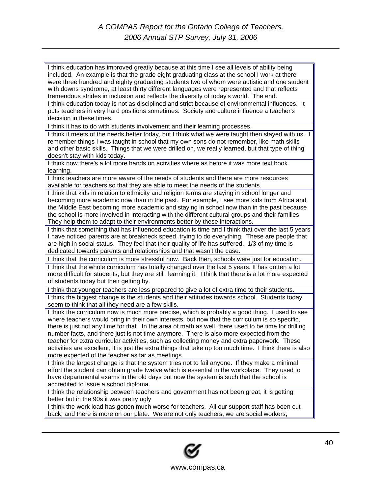I think education has improved greatly because at this time I see all levels of ability being included. An example is that the grade eight graduating class at the school I work at there were three hundred and eighty graduating students two of whom were autistic and one student with downs syndrome, at least thirty different languages were represented and that reflects tremendous strides in inclusion and reflects the diversity of today's world. The end. I think education today is not as disciplined and strict because of environmental influences. It puts teachers in very hard positions sometimes. Society and culture influence a teacher's decision in these times. I think it has to do with students involvement and their learning processes. I think it meets of the needs better today, but I think what we were taught then stayed with us. I remember things I was taught in school that my own sons do not remember, like math skills and other basic skills. Things that we were drilled on, we really learned, but that type of thing doesn't stay with kids today. I think now there's a lot more hands on activities where as before it was more text book learning. I think teachers are more aware of the needs of students and there are more resources available for teachers so that they are able to meet the needs of the students. I think that kids in relation to ethnicity and religion terms are staying in school longer and becoming more academic now than in the past. For example, I see more kids from Africa and the Middle East becoming more academic and staying in school now than in the past because the school is more involved in interacting with the different cultural groups and their families. They help them to adapt to their environments better by these interactions. I think that something that has influenced education is time and I think that over the last 5 years I have noticed parents are at breakneck speed, trying to do everything. These are people that are high in social status. They feel that their quality of life has suffered. 1/3 of my time is dedicated towards parents and relationships and that wasn't the case. I think that the curriculum is more stressful now. Back then, schools were just for education. I think that the whole curriculum has totally changed over the last 5 years. It has gotten a lot more difficult for students, but they are still learning it. I think that there is a lot more expected of students today but their getting by. I think that younger teachers are less prepared to give a lot of extra time to their students. I think the biggest change is the students and their attitudes towards school. Students today seem to think that all they need are a few skills. I think the curriculum now is much more precise, which is probably a good thing. I used to see where teachers would bring in their own interests, but now that the curriculum is so specific, there is just not any time for that. In the area of math as well, there used to be time for drilling number facts, and there just is not time anymore. There is also more expected from the teacher for extra curricular activities, such as collecting money and extra paperwork. These activities are excellent, it is just the extra things that take up too much time. I think there is also more expected of the teacher as far as meetings. I think the largest change is that the system tries not to fail anyone. If they make a minimal effort the student can obtain grade twelve which is essential in the workplace. They used to have departmental exams in the old days but now the system is such that the school is accredited to issue a school diploma. I think the relationship between teachers and government has not been great, it is getting better but in the 90s it was pretty ugly I think the work load has gotten much worse for teachers. All our support staff has been cut

back, and there is more on our plate. We are not only teachers, we are social workers,

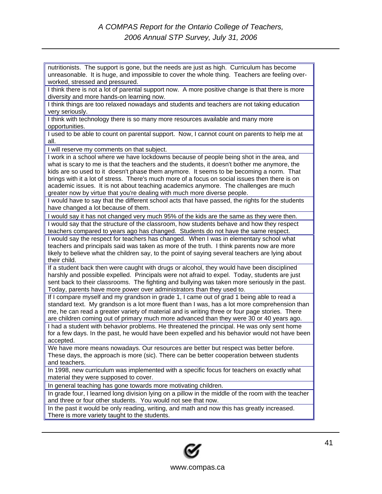nutritionists. The support is gone, but the needs are just as high. Curriculum has become unreasonable. It is huge, and impossible to cover the whole thing. Teachers are feeling overworked, stressed and pressured. I think there is not a lot of parental support now. A more positive change is that there is more diversity and more hands-on learning now. I think things are too relaxed nowadays and students and teachers are not taking education very seriously. I think with technology there is so many more resources available and many more opportunities. I used to be able to count on parental support. Now, I cannot count on parents to help me at all. I will reserve my comments on that subject. I work in a school where we have lockdowns because of people being shot in the area, and what is scary to me is that the teachers and the students, it doesn't bother me anymore, the kids are so used to it doesn't phase them anymore. It seems to be becoming a norm. That brings with it a lot of stress. There's much more of a focus on social issues then there is on academic issues. It is not about teaching academics anymore. The challenges are much greater now by virtue that you're dealing with much more diverse people. I would have to say that the different school acts that have passed, the rights for the students have changed a lot because of them. I would say it has not changed very much 95% of the kids are the same as they were then. I would say that the structure of the classroom, how students behave and how they respect teachers compared to years ago has changed. Students do not have the same respect. I would say the respect for teachers has changed. When I was in elementary school what teachers and principals said was taken as more of the truth. I think parents now are more likely to believe what the children say, to the point of saying several teachers are lying about their child. If a student back then were caught with drugs or alcohol, they would have been disciplined harshly and possible expelled. Principals were not afraid to expel. Today, students are just sent back to their classrooms. The fighting and bullying was taken more seriously in the past. Today, parents have more power over administrators than they used to. If I compare myself and my grandson in grade 1, I came out of grad 1 being able to read a standard text. My grandson is a lot more fluent than I was, has a lot more comprehension than me, he can read a greater variety of material and is writing three or four page stories. There are children coming out of primary much more advanced than they were 30 or 40 years ago. I had a student with behavior problems. He threatened the principal. He was only sent home for a few days. In the past, he would have been expelled and his behavior would not have been accepted. We have more means nowadays. Our resources are better but respect was better before. These days, the approach is more (sic). There can be better cooperation between students and teachers. In 1998, new curriculum was implemented with a specific focus for teachers on exactly what material they were supposed to cover. In general teaching has gone towards more motivating children. In grade four, I learned long division lying on a pillow in the middle of the room with the teacher and three or four other students. You would not see that now. In the past it would be only reading, writing, and math and now this has greatly increased. There is more variety taught to the students.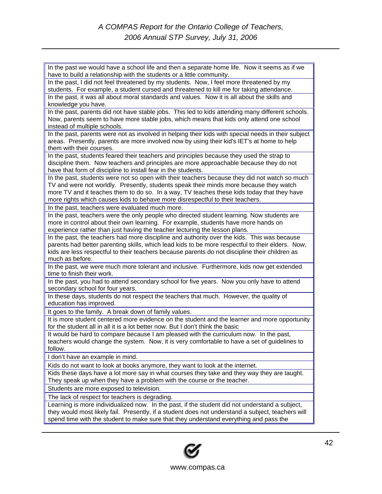In the past we would have a school life and then a separate home life. Now it seems as if we have to build a relationship with the students or a little community. In the past, I did not feel threatened by my students. Now, I feel more threatened by my students. For example, a student cursed and threatened to kill me for taking attendance. In the past, it was all about moral standards and values. Now it is all about the skills and knowledge you have. In the past, parents did not have stable jobs. This led to kids attending many different schools. Now, parents seem to have more stable jobs, which means that kids only attend one school instead of multiple schools. In the past, parents were not as involved in helping their kids with special needs in their subject areas. Presently, parents are more involved now by using their kid's IET's at home to help them with their courses. In the past, students feared their teachers and principles because they used the strap to discipline them. Now teachers and principles are more approachable because they do not have that form of discipline to install fear in the students. In the past, students were not so open with their teachers because they did not watch so much TV and were not worldly. Presently, students speak their minds more because they watch more TV and it teaches them to do so. In a way, TV teaches these kids today that they have more rights which causes kids to behave more disrespectful to their teachers. In the past, teachers were evaluated much more. In the past, teachers were the only people who directed student learning. Now students are more in control about their own learning. For example, students have more hands on experience rather than just having the teacher lecturing the lesson plans. In the past, the teachers had more discipline and authority over the kids. This was because parents had better parenting skills, which lead kids to be more respectful to their elders. Now, kids are less respectful to their teachers because parents do not discipline their children as much as before. In the past, we were much more tolerant and inclusive. Furthermore, kids now get extended time to finish their work. In the past, you had to attend secondary school for five years. Now you only have to attend secondary school for four years. In these days, students do not respect the teachers that much. However, the quality of education has improved. It goes to the family. A break down of family values. It is more student centered more evidence on the student and the learner and more opportunity for the student all in all it is a lot better now. But I don't think the basic It would be hard to compare because I am pleased with the curriculum now. In the past, teachers would change the system. Now, it is very comfortable to have a set of guidelines to follow. I don't have an example in mind. Kids do not want to look at books anymore, they want to look at the internet. Kids these days have a lot more say in what courses they take and they way they are taught. They speak up when they have a problem with the course or the teacher. Students are more exposed to television. The lack of respect for teachers is degrading. Learning is more individualized now. In the past, if the student did not understand a subject, they would most likely fail. Presently, if a student does not understand a subject, teachers will spend time with the student to make sure that they understand everything and pass the

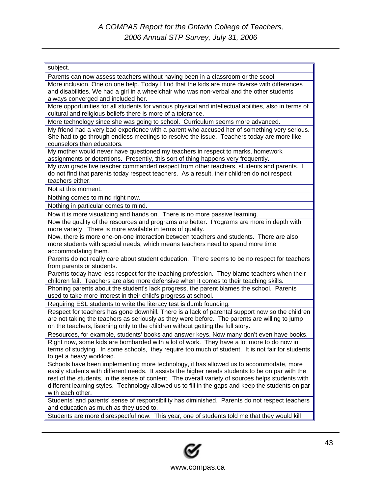#### subject. Parents can now assess teachers without having been in a classroom or the scool. More inclusion. One on one help. Today I find that the kids are more diverse with differences and disabilities. We had a girl in a wheelchair who was non-verbal and the other students always converged and included her. More opportunities for all students for various physical and intellectual abilities, also in terms of cultural and religious beliefs there is more of a tolerance. More technology since she was going to school. Curriculum seems more advanced. My friend had a very bad experience with a parent who accused her of something very serious. She had to go through endless meetings to resolve the issue. Teachers today are more like counselors than educators. My mother would never have questioned my teachers in respect to marks, homework assignments or detentions. Presently, this sort of thing happens very frequently. My own grade five teacher commanded respect from other teachers, students and parents. I do not find that parents today respect teachers. As a result, their children do not respect teachers either. Not at this moment. Nothing comes to mind right now. Nothing in particular comes to mind. Now it is more visualizing and hands on. There is no more passive learning. Now the quality of the resources and programs are better. Programs are more in depth with more variety. There is more available in terms of quality. Now, there is more one-on-one interaction between teachers and students. There are also more students with special needs, which means teachers need to spend more time accommodating them. Parents do not really care about student education. There seems to be no respect for teachers from parents or students. Parents today have less respect for the teaching profession. They blame teachers when their children fail. Teachers are also more defensive when it comes to their teaching skills. Phoning parents about the student's lack progress, the parent blames the school. Parents used to take more interest in their child's progress at school. Requiring ESL students to write the literacy test is dumb founding. Respect for teachers has gone downhill. There is a lack of parental support now so the children are not taking the teachers as seriously as they were before. The parents are willing to jump on the teachers, listening only to the children without getting the full story. Resources, for example, students' books and answer keys. Now many don't even have books. Right now, some kids are bombarded with a lot of work. They have a lot more to do now in terms of studying. In some schools, they require too much of student. It is not fair for students to get a heavy workload. Schools have been implementing more technology, it has allowed us to accommodate, more easily students with different needs. It assists the higher needs students to be on par with the rest of the students, in the sense of content. The overall variety of sources helps students with different learning styles. Technology allowed us to fill in the gaps and keep the students on par with each other. Students' and parents' sense of responsibility has diminished. Parents do not respect teachers and education as much as they used to. Students are more disrespectful now. This year, one of students told me that they would kill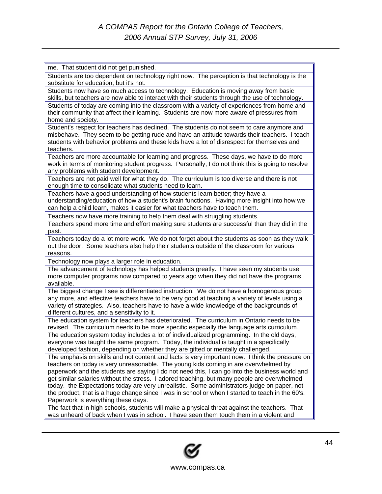| me. That student did not get punished.                                                            |
|---------------------------------------------------------------------------------------------------|
| Students are too dependent on technology right now. The perception is that technology is the      |
| substitute for education, but it's not.                                                           |
| Students now have so much access to technology. Education is moving away from basic               |
| skills, but teachers are now able to interact with their students through the use of technology.  |
| Students of today are coming into the classroom with a variety of experiences from home and       |
| their community that affect their learning. Students are now more aware of pressures from         |
| home and society.                                                                                 |
| Student's respect for teachers has declined. The students do not seem to care anymore and         |
| misbehave. They seem to be getting rude and have an attitude towards their teachers. I teach      |
| students with behavior problems and these kids have a lot of disrespect for themselves and        |
| teachers.                                                                                         |
| Teachers are more accountable for learning and progress. These days, we have to do more           |
| work in terms of monitoring student progress. Personally, I do not think this is going to resolve |
| any problems with student development.                                                            |
| Teachers are not paid well for what they do. The curriculum is too diverse and there is not       |
| enough time to consolidate what students need to learn.                                           |
| Teachers have a good understanding of how students learn better; they have a                      |
| understanding/education of how a student's brain functions. Having more insight into how we       |
| can help a child learn, makes it easier for what teachers have to teach them.                     |
|                                                                                                   |
| Teachers now have more training to help them deal with struggling students.                       |
| Teachers spend more time and effort making sure students are successful than they did in the      |
| past.                                                                                             |
| Teachers today do a lot more work. We do not forget about the students as soon as they walk       |
| out the door. Some teachers also help their students outside of the classroom for various         |
| reasons.                                                                                          |
| Technology now plays a larger role in education.                                                  |
| The advancement of technology has helped students greatly. I have seen my students use            |
| more computer programs now compared to years ago when they did not have the programs              |
| available.                                                                                        |
| The biggest change I see is differentiated instruction. We do not have a homogenous group         |
| any more, and effective teachers have to be very good at teaching a variety of levels using a     |
| variety of strategies. Also, teachers have to have a wide knowledge of the backgrounds of         |
| different cultures, and a sensitivity to it.                                                      |
| The education system for teachers has deteriorated. The curriculum in Ontario needs to be         |
| revised. The curriculum needs to be more specific especially the language arts curriculum.        |
| The education system today includes a lot of individualized programming. In the old days,         |
| everyone was taught the same program. Today, the individual is taught in a specifically           |
| developed fashion, depending on whether they are gifted or mentally challenged.                   |
| The emphasis on skills and not content and facts is very important now. I think the pressure on   |
| teachers on today is very unreasonable. The young kids coming in are overwhelmed by               |
| paperwork and the students are saying I do not need this, I can go into the business world and    |
| get similar salaries without the stress. I adored teaching, but many people are overwhelmed       |
| today. the Expectations today are very unrealistic. Some administrators judge on paper, not       |
| the product, that is a huge change since I was in school or when I started to teach in the 60's.  |
| Paperwork is everything these days.                                                               |
| The fact that in high schools, students will make a physical threat against the teachers. That    |
| was unheard of back when I was in school. I have seen them touch them in a violent and            |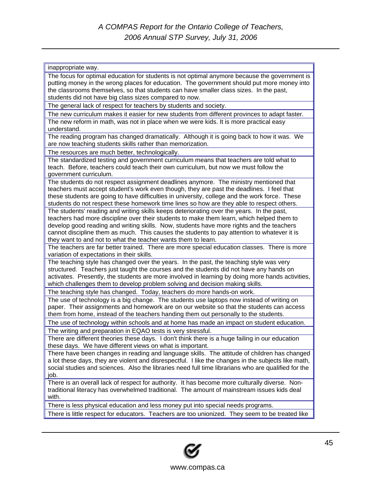| inappropriate way.                                                                                                                                                                     |
|----------------------------------------------------------------------------------------------------------------------------------------------------------------------------------------|
| The focus for optimal education for students is not optimal anymore because the government is                                                                                          |
| putting money in the wrong places for education. The government should put more money into                                                                                             |
| the classrooms themselves, so that students can have smaller class sizes. In the past,                                                                                                 |
| students did not have big class sizes compared to now.                                                                                                                                 |
| The general lack of respect for teachers by students and society.                                                                                                                      |
| The new curriculum makes it easier for new students from different provinces to adapt faster.                                                                                          |
| The new reform in math, was not in place when we were kids. It is more practical easy                                                                                                  |
| understand.                                                                                                                                                                            |
| The reading program has changed dramatically. Although it is going back to how it was. We<br>are now teaching students skills rather than memorization.                                |
| The resources are much better, technologically.                                                                                                                                        |
| The standardized testing and government curriculum means that teachers are told what to                                                                                                |
| teach. Before, teachers could teach their own curriculum, but now we must follow the                                                                                                   |
| government curriculum.                                                                                                                                                                 |
| The students do not respect assignment deadlines anymore. The ministry mentioned that                                                                                                  |
| teachers must accept student's work even though, they are past the deadlines. I feel that                                                                                              |
| these students are going to have difficulties in university, college and the work force. These                                                                                         |
| students do not respect these homework time lines so how are they able to respect others.                                                                                              |
| The students' reading and writing skills keeps deteriorating over the years. In the past,<br>teachers had more discipline over their students to make them learn, which helped them to |
| develop good reading and writing skills. Now, students have more rights and the teachers                                                                                               |
| cannot discipline them as much. This causes the students to pay attention to whatever it is                                                                                            |
| they want to and not to what the teacher wants them to learn.                                                                                                                          |
| The teachers are far better trained. There are more special education classes. There is more                                                                                           |
| variation of expectations in their skills.                                                                                                                                             |
| The teaching style has changed over the years. In the past, the teaching style was very                                                                                                |
| structured. Teachers just taught the courses and the students did not have any hands on                                                                                                |
| activates. Presently, the students are more involved in learning by doing more hands activities,                                                                                       |
| which challenges them to develop problem solving and decision making skills.                                                                                                           |
| The teaching style has changed. Today, teachers do more hands-on work.<br>The use of technology is a big change. The students use laptops now instead of writing on                    |
| paper. Their assignments and homework are on our website so that the students can access                                                                                               |
| them from home, instead of the teachers handing them out personally to the students.                                                                                                   |
| The use of technology within schools and at home has made an impact on student education.                                                                                              |
| The writing and preparation in EQAO tests is very stressful.                                                                                                                           |
| There are different theories these days. I don't think there is a huge failing in our education                                                                                        |
| these days. We have different views on what is important.                                                                                                                              |
| There have been changes in reading and language skills. The attitude of children has changed                                                                                           |
| a lot these days, they are violent and disrespectful. I like the changes in the subjects like math,                                                                                    |
| social studies and sciences. Also the libraries need full time librarians who are qualified for the                                                                                    |
| job.<br>There is an overall lack of respect for authority. It has become more culturally diverse. Non-                                                                                 |
| traditional literacy has overwhelmed traditional. The amount of mainstream issues kids deal                                                                                            |
| with.                                                                                                                                                                                  |
| There is less physical education and less money put into special needs programs.                                                                                                       |
| There is little respect for educators. Teachers are too unionized. They seem to be treated like                                                                                        |

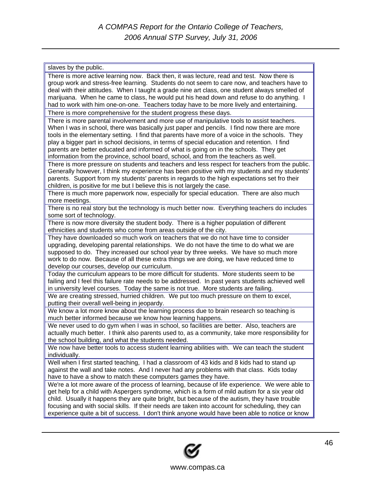| slaves by the public.                                                                                                     |
|---------------------------------------------------------------------------------------------------------------------------|
| There is more active learning now. Back then, it was lecture, read and test. Now there is                                 |
| group work and stress-free learning. Students do not seem to care now, and teachers have to                               |
| deal with their attitudes. When I taught a grade nine art class, one student always smelled of                            |
| marijuana. When he came to class, he would put his head down and refuse to do anything. I                                 |
| had to work with him one-on-one. Teachers today have to be more lively and entertaining.                                  |
| There is more comprehensive for the student progress these days.                                                          |
| There is more parental involvement and more use of manipulative tools to assist teachers.                                 |
| When I was in school, there was basically just paper and pencils. I find now there are more                               |
| tools in the elementary setting. I find that parents have more of a voice in the schools. They                            |
| play a bigger part in school decisions, in terms of special education and retention. I find                               |
| parents are better educated and informed of what is going on in the schools. They get                                     |
| information from the province, school board, school, and from the teachers as well.                                       |
| There is more pressure on students and teachers and less respect for teachers from the public.                            |
| Generally however, I think my experience has been positive with my students and my students'                              |
| parents. Support from my students' parents in regards to the high expectations set fro their                              |
| children, is positive for me but I believe this is not largely the case.                                                  |
| There is much more paperwork now, especially for special education. There are also much                                   |
| more meetings.                                                                                                            |
| There is no real story but the technology is much better now. Everything teachers do includes<br>some sort of technology. |
| There is now more diversity the student body. There is a higher population of different                                   |
| ethnicities and students who come from areas outside of the city.                                                         |
| They have downloaded so much work on teachers that we do not have time to consider                                        |
| upgrading, developing parental relationships. We do not have the time to do what we are                                   |
| supposed to do. They increased our school year by three weeks. We have so much more                                       |
| work to do now. Because of all these extra things we are doing, we have reduced time to                                   |
| develop our courses, develop our curriculum.                                                                              |
| Today the curriculum appears to be more difficult for students. More students seem to be                                  |
| failing and I feel this failure rate needs to be addressed. In past years students achieved well                          |
| in university level courses. Today the same is not true. More students are failing.                                       |
| We are creating stressed, hurried children. We put too much pressure on them to excel,                                    |
| putting their overall well-being in jeopardy.                                                                             |
| We know a lot more know about the learning process due to brain research so teaching is                                   |
| much better informed because we know how learning happens.                                                                |
| We never used to do gym when I was in school, so facilities are better. Also, teachers are                                |
| actually much better. I think also parents used to, as a community, take more responsibility for                          |
| the school building, and what the students needed.                                                                        |
| We now have better tools to access student learning abilities with. We can teach the student                              |
| individually.                                                                                                             |
| Well when I first started teaching, I had a classroom of 43 kids and 8 kids had to stand up                               |
| against the wall and take notes. And I never had any problems with that class. Kids today                                 |
| have to have a show to match these computers games they have.                                                             |
| We're a lot more aware of the process of learning, because of life experience. We were able to                            |
| get help for a child with Aspergers syndrome, which is a form of mild autism for a six year old                           |
| child. Usually it happens they are quite bright, but because of the autism, they have trouble                             |
| focusing and with social skills. If their needs are taken into account for scheduling, they can                           |
| experience quite a bit of success. I don't think anyone would have been able to notice or know                            |